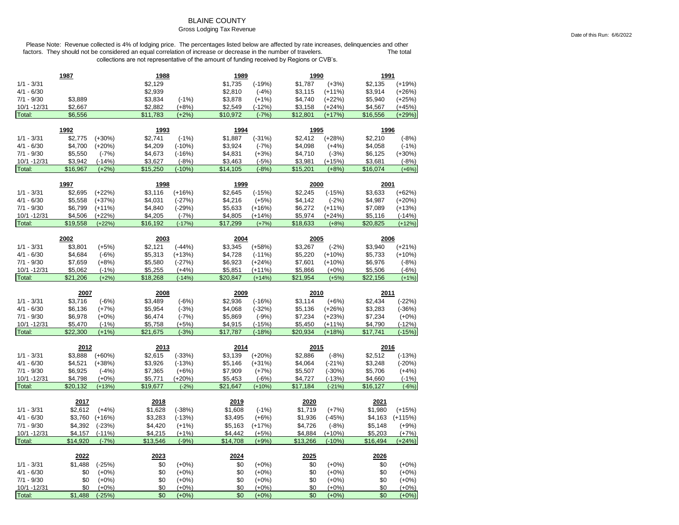### BLAINE COUNTY

### Gross Lodging Tax Revenue

|                        | 1987                |                      | 1988                |                      | 1989                |                      | 1990                |                      | 1991                |                      |
|------------------------|---------------------|----------------------|---------------------|----------------------|---------------------|----------------------|---------------------|----------------------|---------------------|----------------------|
| $1/1 - 3/31$           |                     |                      | \$2,129             |                      | \$1,735             | $(-19%)$             | \$1,787             | $(+3%)$              | \$2,135             | $(+19%)$             |
| $4/1 - 6/30$           |                     |                      | \$2,939             |                      | \$2,810             | $(-4%)$              | \$3,115             | $(+11%)$             | \$3,914             | $(+26%)$             |
| $7/1 - 9/30$           | \$3,889             |                      | \$3,834             | $(-1%)$              | \$3,878             | $(+1%)$              | \$4,740             | $(+22%)$             | \$5,940             | $(+25%)$             |
| 10/1 - 12/31           | \$2,667             |                      | \$2,882             | $(+8%)$              | \$2,549             | $(-12%)$             | \$3,158             | $(+24%)$             | \$4,567             | $(+45%)$             |
| Total:                 | \$6,556             |                      | \$11,783            | $(+2%)$              | \$10,972            | $(-7%)$              | \$12,801            | $(+17%)$             | \$16,556            | $(+29%)$             |
|                        | 1992                |                      | 1993                |                      | 1994                |                      | 1995                |                      | 1996                |                      |
| $1/1 - 3/31$           | \$2,775             | $(+30%)$             | \$2,741             | $(-1%)$              | \$1,887             | $(-31%)$             | \$2,412             | $(+28%)$             | \$2,210             | $(-8%)$              |
| $4/1 - 6/30$           | \$4,700             | $(+20%)$             | \$4,209             | $(-10%)$             | \$3,924             | $(-7%)$              | \$4,098             | $(+4%)$              | \$4,058             | $(-1%)$              |
| $7/1 - 9/30$           | \$5,550             | $(-7%)$              | \$4,673             | $(-16%)$             | \$4,831             | $(+3%)$              | \$4,710             | $(-3%)$              | \$6,125             | $(+30%)$             |
| 10/1 - 12/31           | \$3,942             | $(-14%)$             | \$3,627             | $(-8%)$              | \$3,463             | $(-5%)$              | \$3,981             | $(+15%)$             | \$3,681             | $(-8%)$              |
| Total:                 | \$16,967            | $(+2%)$              | \$15,250            | $(-10%)$             | \$14,105            | $(-8%)$              | \$15,201            | $(+8%)$              | \$16,074            | $(+6%)$              |
|                        | 1997                |                      | 1998                |                      | 1999                |                      | 2000                |                      | 2001                |                      |
| $1/1 - 3/31$           | \$2,695             |                      | \$3,116             |                      |                     |                      | \$2,245             | $(-15%)$             |                     |                      |
| $4/1 - 6/30$           | \$5,558             | $(+22%)$<br>$(+37%)$ | \$4,031             | $(+16%)$<br>$(-27%)$ | \$2,645<br>\$4,216  | $(-15%)$<br>$(+5%)$  | \$4,142             | $(-2%)$              | \$3,633<br>\$4,987  | $(+62%)$<br>$(+20%)$ |
| $7/1 - 9/30$           | \$6,799             | $(+11%)$             | \$4,840             |                      | \$5,633             |                      | \$6,272             | $(+11%)$             | \$7,089             | $(+13%)$             |
| 10/1 - 12/31           | \$4,506             | $(+22%)$             | \$4,205             | $(-29%)$<br>$(-7%)$  | \$4,805             | $(+16%)$<br>$(+14%)$ | \$5,974             | $(+24%)$             | \$5,116             | $(-14%)$             |
| Total:                 | \$19,558            | $(+22%)$             | \$16,192            | $(-17%)$             | \$17,299            | $(+7%)$              | \$18,633            | $(+8%)$              | \$20,825            | $(+12%)$             |
|                        |                     |                      |                     |                      |                     |                      |                     |                      |                     |                      |
|                        | 2002                |                      | 2003                |                      | 2004                |                      | 2005                |                      | 2006                |                      |
| $1/1 - 3/31$           | \$3,801             | $(+5%)$              | \$2,121             | $(-44%)$             | \$3,345             | $(+58%)$             | \$3,267             | $(-2%)$              | \$3,940             | $(+21%)$             |
| $4/1 - 6/30$           | \$4,684             | $(-6%)$              | \$5,313             | $(+13%)$             | \$4,728             | $(-11%)$             | \$5,220             | $(+10%)$             | \$5,733             | $(+10%)$             |
| $7/1 - 9/30$           | \$7,659             | $(+8%)$              | \$5,580             | $(-27%)$             | \$6,923             | $(+24%)$             | \$7,601             | $(+10%)$             | \$6,976             | $(-8%)$              |
| 10/1 - 12/31           | \$5,062             | $(-1%)$              | \$5,255             | $(+4%)$              | \$5,851             | $(+11%)$             | \$5,866             | $(+0%)$              | \$5,506             | $(-6%)$              |
| Total:                 | \$21,206            | $(+2%)$              | \$18,268            | $(-14%)$             | \$20,847            | $(+14%)$             | \$21,954            | $(+5%)$              | \$22,156            | $(+1%)$              |
|                        |                     |                      |                     |                      |                     |                      |                     |                      |                     |                      |
|                        | 2007                |                      | 2008                |                      | 2009                |                      | 2010                |                      | 2011                |                      |
| $1/1 - 3/31$           | \$3,716             | $(-6%)$              | \$3,489             | $(-6%)$              | \$2,936             | $(-16%)$             | \$3,114             | $(+6%)$              | \$2,434             | $(-22%)$             |
| $4/1 - 6/30$           | \$6,136             | $(+7%)$              | \$5,954             | $(-3%)$              | \$4,068             | $(-32%)$             | \$5,136             | $(+26%)$             | \$3,283             | $(-36%)$             |
| $7/1 - 9/30$           | \$6,978             | $(+0%)$              | \$6,474             | $(-7%)$              | \$5,869             | $(-9%)$              | \$7,234             | $(+23%)$             | \$7,234             | $(+0%)$              |
| 10/1 - 12/31           | \$5,470             | $(-1%)$              | \$5,758             | $(+5%)$              | \$4,915             | $(-15%)$             | \$5,450             | $(+11%)$             | \$4,790             | $(-12%)$             |
| Total:                 | \$22,300            | $(+1%)$              | \$21,675            | $(-3%)$              | \$17.787            | $(-18%)$             | \$20,934            | $(+18%)$             | \$17,741            | $(-15%)$             |
|                        |                     |                      |                     |                      |                     |                      |                     |                      |                     |                      |
|                        | 2012                |                      | 2013                |                      | 2014                |                      | 2015                |                      | 2016                |                      |
| $1/1 - 3/31$           | \$3,888             | $(+60%)$             | \$2,615             | $(-33%)$             | \$3,139             | $(+20%)$             | \$2,886             | $(-8%)$              | \$2,512             | $(-13%)$             |
| $4/1 - 6/30$           | \$4,521             | $(+38%)$             | \$3,926             | $(-13%)$             | \$5,146             | $(+31%)$             | \$4,064             | $(-21%)$             | \$3,248             | $(-20%)$             |
| $7/1 - 9/30$           | \$6,925             | $(-4%)$              | \$7,365             | $(+6%)$              | \$7,909             | $(+7%)$              | \$5,507             | $(-30%)$             | \$5,706             | $(+4%)$              |
| 10/1 - 12/31<br>Total: | \$4,798<br>\$20,132 | $(+0%)$<br>$(+13%)$  | \$5,771<br>\$19,677 | $(+20%)$<br>$(-2%)$  | \$5,453<br>\$21,647 | $(-6%)$<br>$(+10%)$  | \$4,727<br>\$17,184 | $(-13%)$<br>$(-21%)$ | \$4,660<br>\$16,127 | $(-1%)$<br>$(-6%)$   |
|                        |                     |                      |                     |                      |                     |                      |                     |                      |                     |                      |
|                        | 2017                |                      | 2018                |                      | 2019                |                      | 2020                |                      | 2021                |                      |
| $1/1 - 3/31$           | \$2,612             | $(+4%)$              | \$1,628             | $(-38%)$             | \$1,608             | $(-1%)$              | \$1,719             | $(+7%)$              | \$1,980             | $(+15%)$             |
| $4/1 - 6/30$           | \$3,760             | $(+16%)$             | \$3,283             | $(-13%)$             | \$3,495             | $(+6%)$              | \$1,936             | $(-45%)$             | \$4,163             | $(+115%)$            |
| $7/1 - 9/30$           | \$4,392             | $(-23%)$             | \$4,420             | $(+1%)$              | \$5,163             | $(+17%)$             | \$4,726             | $(-8%)$              | \$5,148             | $(+9%)$              |
| 10/1 -12/31            | \$4,157             | $(-11%$              | \$4,215             | $(+1%)$              | \$4,442             | $(+5%)$              | \$4,884             | $(+10%)$             | \$5,203             | $(+7%)$              |
| Total:                 | \$14,920            | $(-7%)$              | \$13,546            | $(-9%)$              | \$14,708            | $(+9%)$              | \$13,266            | $(-10%)$             | \$16,494            | $(+24%)$             |
|                        | 2022                |                      | 2023                |                      | 2024                |                      | 2025                |                      | 2026                |                      |
| $1/1 - 3/31$           | \$1,488             | $(-25%)$             | \$0                 | $(+0%)$              | \$0                 | $(+0%)$              | \$0                 | $(+0%)$              | \$0                 | $(+0\%)$             |
| $4/1 - 6/30$           | \$0                 | $(+0%)$              | \$0                 | $(+0\%)$             | \$0                 | $(+0%)$              | \$0                 | $(+0%)$              | \$0                 | $(+0%)$              |
| $7/1 - 9/30$           | \$0                 | $(+0%)$              | \$0                 | $(+0%)$              | \$0                 | $(+0%)$              | \$0                 | $(+0%)$              | \$0                 | $(+0%)$              |
| 10/1 -12/31<br>Total:  | \$0<br>\$1,488      | $(+0%)$<br>$(-25%)$  | \$0<br>\$0          | $(+0%)$<br>$(+0%)$   | \$0<br>\$0          | $(+0%)$<br>$(+0%)$   | \$0<br>\$0          | $(+0%)$<br>$(+0%)$   | \$0<br>\$0          | $(+0%)$<br>$(+0%)$   |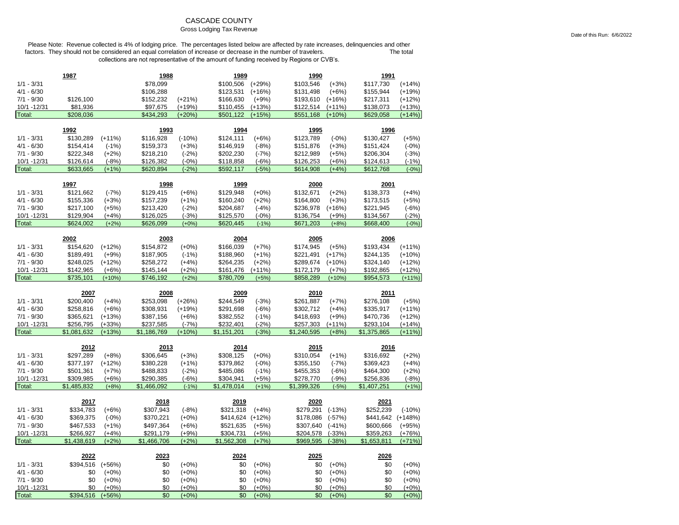### CASCADE COUNTY

### Gross Lodging Tax Revenue

Please Note: Revenue collected is 4% of lodging price. The percentages listed below are affected by rate increases, delinquencies and other factors. They should not be considered an equal correlation of increase or decrease in the number of travelers. The total The total collections are not representative of the amount of funding received by Regions or CVB's.

|                              | 1987                   |                    | 1988                   |                    | 1989                   |                    | 1990                   |                    | 1991                   |                     |
|------------------------------|------------------------|--------------------|------------------------|--------------------|------------------------|--------------------|------------------------|--------------------|------------------------|---------------------|
| $1/1 - 3/31$                 |                        |                    | \$78,099               |                    | \$100,506              | $(+29%)$           | \$103,546              | $(+3%)$            | \$117,730              | $(+14%)$            |
| $4/1 - 6/30$                 |                        |                    | \$106,288              |                    | \$123,531              | $(+16%)$           | \$131,498              | $(+6%)$            | \$155,944              | $(+19%)$            |
| $7/1 - 9/30$                 | \$126,100              |                    | \$152,232              | $(+21%)$           | \$166,630              | $(+9%)$            | \$193,610              | $(+16%)$           | \$217,311              | $(+12%)$            |
| 10/1 - 12/31                 | \$81,936               |                    | \$97,675               | $(+19%)$           | \$110,455              | $(+13%)$           | \$122,514              | $(+11%)$           | \$138,073              | $(+13%)$            |
| Total:                       | \$208,036              |                    | \$434,293              | $(+20%)$           | \$501,122              | $(+15%)$           | \$551,168              | $(+10%)$           | \$629,058              | $(+14%)$            |
|                              |                        |                    |                        |                    |                        |                    |                        |                    |                        |                     |
|                              | 1992                   |                    | 1993                   |                    | 1994                   |                    | 1995                   |                    | 1996                   |                     |
| $1/1 - 3/31$                 | \$130,289              | $(+11%)$           | \$116,928              | $(-10%)$           | \$124,111              | $(+6%)$            | \$123,789              | $(-0%)$            | \$130,427              | $(+5%)$             |
| $4/1 - 6/30$                 | \$154,414              | $(-1%)$            | \$159,373              | $(+3%)$            | \$146,919              | $(-8%)$            | \$151,876              | $(+3%)$            | \$151,424              | $(-0%)$             |
| $7/1 - 9/30$                 | \$222,348              | $(+2%)$            | \$218,210              | $(-2%)$            | \$202,230              | $(-7%)$            | \$212,989              | $(+5%)$            | \$206,304              | $(-3%)$             |
| 10/1 - 12/31                 | \$126,614              | $(-8%)$            | \$126,382              | $(-0%)$            | \$118,858              | (-6%)              | \$126,253              | $(+6%)$            | \$124,613              | $(-1%)$             |
| Total:                       | \$633,665              | $(+1%)$            | \$620,894              | $(-2%)$            | \$592,117              | $(-5%)$            | \$614,908              | $(+4%)$            | \$612,768              | $(-0%)$             |
|                              | 1997                   |                    | 1998                   |                    | 1999                   |                    | 2000                   |                    | 2001                   |                     |
| $1/1 - 3/31$                 | \$121,662              | $(-7%)$            | \$129,415              | $(+6%)$            | \$129,948              | $(+0%)$            | \$132,671              | $(+2%)$            | \$138,373              | $(+4%)$             |
| $4/1 - 6/30$                 | \$155,336              | $(+3%)$            | \$157,239              | $(+1%)$            | \$160,240              | $(+2%)$            | \$164,800              | $(+3%)$            | \$173,515              | $(+5%)$             |
| $7/1 - 9/30$                 | \$217,100              | $(+5%)$            | \$213,420              | $(-2%)$            | \$204,687              | $(-4%)$            | \$236,978              | $(+16%)$           | \$221,945              | $(-6%)$             |
| 10/1 - 12/31                 | \$129,904              | $(+4%)$            | \$126,025              | $(-3%)$            | \$125,570              | $(-0%)$            | \$136,754              | $(+9%)$            | \$134,567              | $(-2%)$             |
| Total:                       | \$624,002              | $(+2%)$            | \$626,099              | $(+0%)$            | \$620,445              | $(-1%)$            | \$671,203              | $(+8%)$            | \$668,400              | $(-0%)$             |
|                              |                        |                    |                        |                    |                        |                    |                        |                    |                        |                     |
|                              | 2002                   |                    | 2003                   |                    | 2004                   |                    | 2005                   |                    | 2006                   |                     |
| $1/1 - 3/31$                 | \$154,620              | $(+12%)$           | \$154,872              | $(+0%)$            | \$166,039              | $(+7%)$            | \$174,945              | $(+5%)$            | \$193,434              | $(+11%)$            |
| $4/1 - 6/30$                 | \$189,491              | $(+9%)$            | \$187,905              | $(-1%)$            | \$188,960              | $(+1%)$            | \$221,491              | $(+17%)$           | \$244,135              | $(+10%)$            |
| $7/1 - 9/30$                 | \$248,025              | $(+12%)$           | \$258,272              | $(+4%)$            | \$264,235              | $(+2%)$            | \$289,674              | $(+10%)$           | \$324,140              | $(+12%)$            |
| 10/1 - 12/31                 | \$142,965              | $(+6%)$            | \$145,144              | $(+2%)$            | \$161,476              | $(+11%)$           | \$172,179              | $(+7%)$            | \$192,865              | $(+12%)$            |
| Total:                       | \$735,101              | $(+10%)$           | \$746,192              | $(+2%)$            | \$780,709              | $(+5%)$            | \$858,289              | $(+10%)$           | \$954,573              | $(+11%)$            |
|                              |                        |                    |                        |                    |                        |                    |                        |                    |                        |                     |
|                              |                        |                    |                        |                    |                        |                    |                        |                    |                        |                     |
|                              | 2007                   |                    | 2008                   |                    | 2009                   |                    | 2010                   |                    | 2011                   |                     |
| $1/1 - 3/31$                 | \$200,400              | $(+4%)$            | \$253,098              | $(+26%)$           | \$244,549              | $(-3%)$            | \$261,887              | $(+7%)$            | \$276,108              | $(+5%)$             |
| $4/1 - 6/30$                 | \$258,816              | $(+6%)$            | \$308,931              | $(+19%)$           | \$291,698              | $(-6%)$            | \$302,712              | $(+4%)$            | \$335,917              | $(+11%)$            |
| $7/1 - 9/30$                 | \$365,621              | $(+13%)$           | \$387,156              | $(+6%)$            | \$382,552              | $(-1%)$            | \$418,693              | $(+9%)$            | \$470,736              | $(+12%)$            |
| 10/1 - 12/31                 | \$256,795              | $(+33%)$           | \$237,585              | $(-7%)$            | \$232,401              | $(-2%)$            | \$257,303              | $(+11%)$           | \$293,104              | $(+14%)$            |
| Total:                       | \$1,081,632            | $(+13%)$           | \$1,186,769            | $(+10%)$           | \$1,151,201            | $(-3%)$            | \$1,240,595            | $(+8%)$            | \$1,375,865            | $(+11%)$            |
|                              |                        |                    |                        |                    |                        |                    |                        |                    |                        |                     |
| $1/1 - 3/31$                 | 2012<br>\$297,289      | $(+8%)$            | 2013<br>\$306,645      | $(+3%)$            | 2014<br>\$308,125      | $(+0%)$            | 2015<br>\$310,054      | $(+1%)$            | 2016<br>\$316,692      |                     |
| $4/1 - 6/30$                 |                        |                    |                        |                    |                        |                    |                        |                    |                        | $(+2%)$             |
| $7/1 - 9/30$                 | \$377,197              | $(+12%)$           | \$380,228              | $(+1%)$            | \$379,862              | $(-0%)$            | \$355,150              | $(-7%)$            | \$369,423              | $(+4%)$             |
| 10/1 - 12/31                 | \$501,361<br>\$309,985 | $(+7%)$<br>$(+6%)$ | \$488,833<br>\$290,385 | $(-2%)$<br>$(-6%)$ | \$485,086<br>\$304,941 | $(-1%)$<br>$(+5%)$ | \$455,353<br>\$278,770 | $(-6%)$<br>$(-9%)$ | \$464,300<br>\$256,836 | $(+2%)$<br>$(-8%)$  |
| Total:                       | \$1,485,832            | $(+8%)$            | \$1,466,092            | $(-1%)$            | \$1,478,014            | $(+1%)$            | \$1,399,326            | $(-5%)$            | \$1,407,251            | $(+1%)$             |
|                              |                        |                    |                        |                    |                        |                    |                        |                    |                        |                     |
|                              | 2017                   |                    | 2018                   |                    | 2019                   |                    | 2020                   |                    | 2021                   |                     |
| $1/1 - 3/31$                 | \$334,783              | $(+6%)$            | \$307,943              | $(-8%)$            | \$321,318              | $(+4%)$            | \$279,291              | $(-13%)$           | \$252,239              | $(-10%)$            |
| $4/1 - 6/30$                 | \$369,375              | $(-0%)$            | \$370,221              | $(+0%)$            | \$414,624              | $(+12%)$           | \$178,086              | $(-57%)$           | \$441,642              | $(+148%)$           |
| $7/1 - 9/30$                 | \$467,533              | $(+1%)$            | \$497,364              | $(+6%)$            | \$521,635              | $(+5%)$            | \$307,640              | $(-41%)$           | \$600,666              | $(+95%)$            |
| 10/1 - 12/31                 | \$266,927              | $(+4%)$            | \$291,179              | $(+9%)$            | \$304,731              | $(+5%)$            | \$204,578              | $(-33%)$           | \$359,263              | $(+76%)$            |
| Total:                       | \$1,438,619            | $(+2%)$            | \$1,466,706            | $(+2%)$            | \$1,562,308            | $(+7%)$            | \$969,595              | $(-38%)$           | \$1,653,811            | $(+71%)$            |
|                              |                        |                    |                        |                    |                        |                    |                        |                    |                        |                     |
|                              | 2022                   |                    | 2023                   |                    | 2024                   |                    | 2025                   |                    | 2026                   |                     |
| $1/1 - 3/31$                 | \$394,516              | $(+56%)$           | \$0                    | $(+0\%)$           | \$0                    | $(+0\%)$           | \$0                    | $(+0\%)$           | \$0                    | $(+0%)$             |
| $4/1 - 6/30$                 | \$0                    | $(+0%)$            | \$0                    | $(+0%)$            | \$0                    | $(+0%)$            | \$0                    | $(+0%)$            | \$0                    | $(+0%)$             |
| $7/1 - 9/30$<br>10/1 - 12/31 | \$0<br>\$0             | $(+0%)$<br>$(+0%)$ | \$0<br>\$0             | $(+0%)$<br>$(+0%)$ | \$0<br>\$0             | $(+0%)$<br>$(+0%)$ | \$0<br>\$0             | $(+0%)$<br>$(+0%)$ | \$0<br>\$0             | $(+0%)$<br>$(+0\%)$ |

Date of this Run: 6/6/2022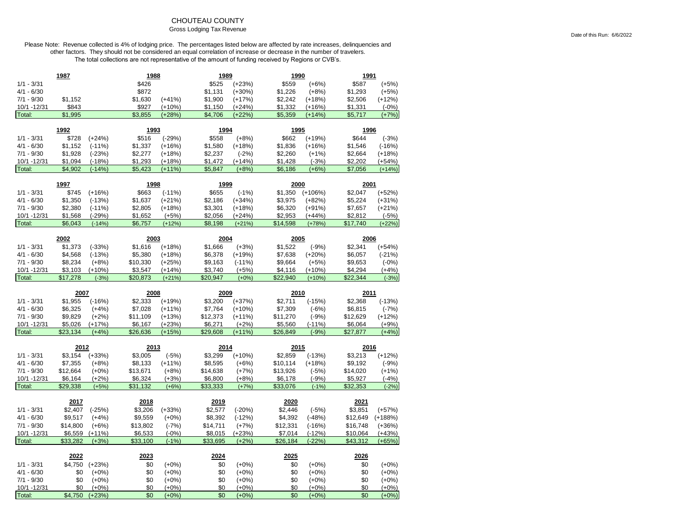# CHOUTEAU COUNTY

#### Gross Lodging Tax Revenue

|                       | <u> 1987</u>        |                     | 1988                |                    | <u>1989</u>         |                     | <u>1990</u>         |                      | 1991                 |                      |
|-----------------------|---------------------|---------------------|---------------------|--------------------|---------------------|---------------------|---------------------|----------------------|----------------------|----------------------|
| $1/1 - 3/31$          |                     |                     | \$426               |                    | \$525               | $(+23%)$            | \$559               | $(+6%)$              | \$587                | $(+5%)$              |
| $4/1 - 6/30$          |                     |                     | \$872               |                    | \$1,131             | $(+30%)$            | \$1,226             | $(+8%)$              | \$1,293              | $(+5%)$              |
| $7/1 - 9/30$          | \$1,152             |                     | \$1,630             | $(+41%)$           | \$1,900             | $(+17%)$            | \$2,242             | $(+18%)$             | \$2,506              | $(+12%)$             |
| 10/1 - 12/31          | \$843               |                     | \$927               | $(+10%)$           | \$1,150             | $(+24%)$            | \$1,332             | $(+16%)$             | \$1,331              | $(-0%)$              |
| Total:                | \$1,995             |                     | \$3,855             | $(+28%)$           | \$4,706             | $(+22%)$            | \$5,359             | $(+14%)$             | \$5,717              | $(+7%)$              |
|                       |                     |                     |                     |                    |                     |                     |                     |                      |                      |                      |
|                       | 1992                |                     | 1993                |                    | 1994                |                     | 1995                |                      | 1996                 |                      |
| $1/1 - 3/31$          | \$728               | $(+24%)$            | \$516               | $(-29%)$           | \$558               | $(+8%)$             | \$662               | $(+19%)$             | \$644                | $(-3%)$              |
| $4/1 - 6/30$          | \$1,152             | $(-11%)$            | \$1,337             | $(+16%)$           | \$1,580             | $(+18%)$            | \$1,836             | $(+16%)$             | \$1,546              | $(-16%)$             |
| $7/1 - 9/30$          | \$1,928             | $(-23%)$            | \$2,277             | $(+18%)$           | \$2,237             | $(-2%)$             | \$2,260             | $(+1%)$              | \$2,664              | $(+18%)$             |
| 10/1 -12/31           | \$1,094             | $(-18%)$            | \$1,293             | $(+18%)$           | \$1,472             | $(+14%)$            | \$1,428             | $(-3%)$              | \$2,202              | $(+54%)$             |
| Total:                | \$4,902             | $(-14%)$            | \$5,423             | $(+11%)$           | \$5,847             | $(+8%)$             | \$6,186             | $(+6%)$              | \$7,056              | $(+14%)$             |
|                       | 1997                |                     | 1998                |                    | 1999                |                     | 2000                |                      | <u> 2001 </u>        |                      |
| $1/1 - 3/31$          | \$745               | $(+16%)$            | \$663               | $(-11%)$           | \$655               | $(-1%)$             | \$1,350             | $(+106%)$            | \$2,047              | $(+52%)$             |
|                       |                     |                     |                     |                    |                     |                     |                     |                      |                      |                      |
| $4/1 - 6/30$          | \$1,350             | $(-13%)$            | \$1,637             | $(+21%)$           | \$2,186             | $(+34%)$            | \$3,975             | $(+82%)$             | \$5,224              | $(+31%)$             |
| $7/1 - 9/30$          | \$2,380             | $(-11%)$            | \$2,805             | $(+18%)$           | \$3,301             | $(+18%)$            | \$6,320             | $(+91%)$             | \$7,657              | $(+21%)$             |
| 10/1 - 12/31          | \$1,568             | $(-29%)$            | \$1,652             | $(+5%)$            | \$2,056             | $(+24%)$            | \$2,953             | $(+44%)$             | \$2,812              | $(-5%)$              |
| Total:                | \$6,043             | $(-14%)$            | \$6,757             | $(+12%)$           | \$8,198             | $(+21%)$            | \$14,598            | $(+78%)$             | \$17,740             | $(+22%)$             |
|                       | 2002                |                     | 2003                |                    | 2004                |                     | 2005                |                      | 2006                 |                      |
| $1/1 - 3/31$          | \$1,373             | $(-33%)$            | \$1,616             | $(+18%)$           | \$1,666             | $(+3%)$             | \$1,522             | $(-9%)$              | \$2,341              | $(+54%)$             |
| $4/1 - 6/30$          | \$4,568             | $(-13%)$            | \$5,380             | $(+18%)$           | \$6,378             | $(+19%)$            | \$7,638             | $(+20%)$             | \$6,057              | $(-21%)$             |
| $7/1 - 9/30$          | \$8,234             | $(+8%)$             | \$10,330            | $(+25%)$           | \$9,163             | $(-11%)$            | \$9,664             | $(+5%)$              | \$9,653              | $(-0%)$              |
| 10/1 - 12/31          | \$3,103             | $(+10%)$            | \$3,547             | $(+14%)$           | \$3,740             | $(+5%)$             | \$4,116             | $(+10%)$             | \$4,294              | $(+4%)$              |
| Total:                | \$17,278            | $(-3%)$             | \$20,873            | $(+21%)$           | \$20,947            | $(+0%)$             | \$22,940            | $(+10%)$             | \$22,344             | $(-3%)$              |
|                       |                     |                     |                     |                    |                     |                     |                     |                      |                      |                      |
|                       |                     |                     |                     |                    |                     |                     |                     |                      |                      |                      |
|                       | 2007                |                     | 2008                |                    | 2009                |                     | 2010                |                      | 2011                 |                      |
| $1/1 - 3/31$          | \$1,955             | $(-16%)$            | \$2,333             | $(+19%)$           | \$3,200             | $(+37%)$            | \$2,711             | $(-15%)$             | \$2,368              | $(-13%)$             |
| $4/1 - 6/30$          | \$6,325             | $(+4%)$             | \$7,028             | $(+11%)$           | \$7,764             | $(+10%)$            | \$7,309             | $(-6%)$              | \$6,815              | $(-7%)$              |
| $7/1 - 9/30$          | \$9,829             | $(+2%)$             | \$11,109            | $(+13%)$           | \$12,373            | $(+11%)$            | \$11,270            | $(-9%)$              | \$12,629             | $(+12%)$             |
| 10/1 -12/31           | \$5,026             | $(+17%)$            | \$6,167             | $(+23%)$           | \$6,271             | $(+2%)$             | \$5,560             | $(-11%)$             | \$6,064              | $(+9%)$              |
| Total:                | \$23,134            | $(+4%)$             | \$26,636            | $(+15%)$           | \$29,608            | $(+11%)$            | \$26,849            | $(-9%)$              | \$27,877             | $(+4%)$              |
|                       |                     |                     |                     |                    |                     |                     |                     |                      |                      |                      |
|                       | 2012                |                     | 2013                |                    | 2014                |                     | 2015                |                      | 2016                 |                      |
| $1/1 - 3/31$          | \$3,154             | $(+33%)$            | \$3,005             | $(-5%)$            | \$3,299             | $(+10%)$            | \$2,859             | $(-13%)$             | \$3,213              | $(+12%)$             |
| $4/1 - 6/30$          | \$7,355             | $(+8%)$             | \$8,133             | $(+11%)$           | \$8,595             | $(+6%)$             | \$10,114            | $(+18%)$             | \$9,192              | $(-9%)$              |
| $7/1 - 9/30$          | \$12,664            | $(+0%)$             | \$13,671            | $(+8%)$            | \$14,638            | $(+7%)$             | \$13,926            | $(-5%)$              | \$14,020             | $(+1%)$              |
| 10/1 - 12/31          | \$6,164             | $(+2%)$             | \$6,324             | $(+3%)$            | \$6,800             | $(+8%)$             | \$6,178             | $(-9%)$              | \$5,927              | $(-4%)$              |
| Total:                | \$29,338            | $(+5%)$             | \$31,132            | $(+6%)$            | \$33,333            | $(+7%)$             | \$33,076            | $(-1%)$              | \$32,353             | $(-2%)$              |
|                       | 2017                |                     | 2018                |                    | 2019                |                     | 2020                |                      | 2021                 |                      |
| $1/1 - 3/31$          | \$2,407             | $(-25%)$            | \$3,206             | $(+33%)$           | \$2,577             | $(-20%)$            | \$2,446             | $(-5%)$              | \$3,851              | $(+57%)$             |
| $4/1 - 6/30$          |                     |                     |                     |                    |                     |                     |                     |                      |                      |                      |
| $7/1 - 9/30$          | \$9,517             | $(+4%)$             | \$9,559             | $(+0%)$            | \$8,392             | $(-12%)$            | \$4,392             | $(-48%)$             | \$12,649             | $(+188%)$            |
|                       | \$14,800            | $(+6%)$             | \$13,802            | $(-7%)$            | \$14,711            | $(+7%)$             | \$12,331            | $(-16%)$             | \$16,748             | $(+36%)$             |
| 10/1 -12/31           | \$6,559<br>\$33,282 | $(+11%)$<br>$(+3%)$ | \$6,533<br>\$33,100 | $(-0%)$<br>$(-1%)$ | \$8,015<br>\$33,695 | $(+23%)$<br>$(+2%)$ | \$7,014<br>\$26,184 | $(-12%)$<br>$(-22%)$ | \$10,064<br>\$43,312 | $(+43%)$<br>$(+65%)$ |
| Total:                |                     |                     |                     |                    |                     |                     |                     |                      |                      |                      |
|                       | 2022                |                     | 2023                |                    | 2024                |                     | 2025                |                      | 2026                 |                      |
| $1/1 - 3/31$          | \$4,750             | $(+23%)$            | \$0                 | $(+0%)$            | \$0                 | $(+0\%)$            | \$0                 | $(+0%)$              | \$0                  | $(+0%)$              |
| $4/1 - 6/30$          | \$0                 | $(+0%)$             | \$0                 | $(+0%)$            | \$0                 | $(+0%)$             | \$0                 | $(+0%)$              | \$0                  | $(+0%)$              |
| $7/1 - 9/30$          | \$0                 | $(+0%)$             | \$0                 | $(+0%)$            | \$0                 | $(+0%)$             | \$0                 | $(+0%)$              | \$0                  | $(+0\%)$             |
| 10/1 -12/31<br>Total: | \$0<br>\$4,750      | $(+0%)$<br>$(+23%)$ | \$0<br>\$0          | $(+0%)$<br>$(+0%)$ | \$0<br>\$0          | $(+0%)$<br>$(+0%)$  | \$0<br>\$0          | $(+0%)$<br>$(+0%)$   | \$0<br>\$0           | $(+0%)$<br>$(+0%)$   |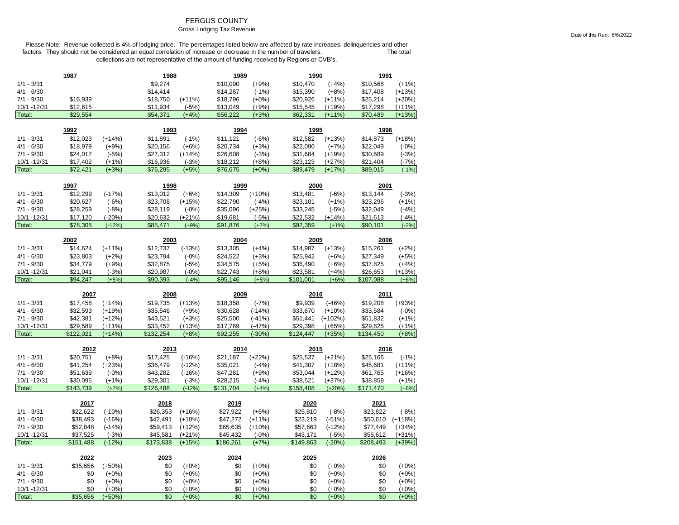## FERGUS COUNTY

# Gross Lodging Tax Revenue

Please Note: Revenue collected is 4% of lodging price. The percentages listed below are affected by rate increases, delinquencies and other factors. They should not be considered an equal correlation of increase or decrease in the number of travelers. The total The total collections are not representative of the amount of funding received by Regions or CVB's.

|                             | 1987                 |                      | 1988         |                     | 1989       |                      | 1990       |                    | 1991                 |                    |
|-----------------------------|----------------------|----------------------|--------------|---------------------|------------|----------------------|------------|--------------------|----------------------|--------------------|
| $1/1 - 3/31$                |                      |                      | \$9,274      |                     | \$10,090   | $(+9%)$              | \$10,470   | $(+4%)$            | \$10,568             | $(+1%)$            |
| $4/1 - 6/30$                |                      |                      | \$14,414     |                     | \$14,287   | $(-1%)$              | \$15,390   | $(+8%)$            | \$17,408             | $(+13%)$           |
| $7/1 - 9/30$                | \$16,939             |                      | \$18,750     | $(+11%)$            | \$18,796   | $(+0%)$              | \$20,926   | $(+11%)$           | \$25,214             | $(+20%)$           |
| 10/1 -12/31                 | \$12,615             |                      | \$11,934     | $(-5%)$             | \$13,049   | $(+9%)$              | \$15,545   | (+19%)             | \$17,298             | (+11%)             |
| Total:                      | \$29,554             |                      | \$54,371     | $(+4%)$             | \$56,222   | $(+3%)$              | \$62,331   | $(+11%)$           | \$70,489             | $(+13%)$           |
|                             |                      |                      |              |                     |            |                      |            |                    |                      |                    |
|                             | 1992                 |                      | <u> 1993</u> |                     | 1994       |                      | 1995       |                    | <u>1996</u>          |                    |
| $1/1 - 3/31$                | \$12,023             | $(+14%)$             | \$11,891     | $(-1%)$             | \$11,121   | $(-6%)$              | \$12,582   | $(+13%)$           | \$14,873             | $(+18%)$           |
| $4/1 - 6/30$                | \$18,979             | $(+9%)$              | \$20,156     | $(+6%)$             | \$20,734   | $(+3%)$              | \$22,090   | $(+7%)$            | \$22,049             | $(-0%)$            |
| $7/1 - 9/30$                | \$24,017             | $(-5%)$              | \$27,312     | $(+14%)$            | \$26,608   | $(-3%)$              | \$31,684   | $(+19%)$           | \$30,689             | $(-3%)$            |
| 10/1 -12/31                 | \$17,402             | $(+1%)$              | \$16,936     | $(-3%)$             | \$18,212   | $(+8%)$              | \$23,123   | $(+27%)$           | \$21,404             | $(-7%)$            |
| Total:                      | \$72,421             | $(+3%)$              | \$76,295     | $(+5%)$             | \$76,675   | $(+0%)$              | \$89,479   | $(+17%)$           | \$89,015             | $(-1%)$            |
|                             | 1997                 |                      | 1998         |                     | 1999       |                      | 2000       |                    | 2001                 |                    |
| $1/1 - 3/31$                | \$12,299             | $(-17%)$             | \$13,012     | $(+6%)$             | \$14,309   | $(+10%)$             | \$13,481   | $(-6%)$            | \$13,144             | $(-3%)$            |
| $4/1 - 6/30$                | \$20,627             | $(-6%)$              | \$23,708     | $(+15%)$            | \$22,790   | $(-4%)$              | \$23,101   | $(+1%)$            | \$23,296             | $(+1%)$            |
| $7/1 - 9/30$                | \$28,259             | $(-8%)$              | \$28,119     | $(-0%)$             | \$35,096   | $(+25%)$             | \$33,245   | $(-5%)$            | \$32,049             | $(-4%)$            |
| 10/1 - 12/31                | \$17,120             | $(-20%)$             | \$20,632     | (+21%)              | \$19,681   | $(-5%)$              | \$22,532   | $(+14%)$           | \$21,613             | $(-4%)$            |
| Total:                      | \$78,305             | $(-12%)$             | \$85,471     | $(+9%)$             | \$91,876   | $(+7%)$              | \$92,359   | $(+1%)$            | \$90,101             | $(-2%)$            |
|                             |                      |                      |              |                     |            |                      |            |                    |                      |                    |
|                             | 2002                 |                      | 2003         |                     | 2004       |                      | 2005       |                    | 2006                 |                    |
| $1/1 - 3/31$                | \$14,624             | $(+11%)$             | \$12,737     | $(-13%)$            | \$13,305   | $(+4%)$              | \$14,987   | $(+13%)$           | \$15,261             | $(+2%)$            |
| $4/1 - 6/30$                | \$23,803             | $(+2%)$              | \$23,794     | $(-0%)$             | \$24,522   | $(+3%)$              | \$25,942   | $(+6%)$            | \$27,349             | $(+5%)$            |
| $7/1 - 9/30$                | \$34,779             | $(+9%)$              | \$32,875     | $(-5%)$             | \$34,575   | $(+5%)$              | \$36,490   | $(+6%)$            | \$37,825             | $(+4%)$            |
| 10/1 - 12/31                | \$21,041             | $(-3%)$              | \$20,987     | $(-0%)$             | \$22,743   | $(+8%)$              | \$23,581   | $(+4%)$            | \$26,653             | $(+13%)$           |
| Total:                      | \$94,247             | $(+5%)$              | \$90,393     | $(-4%)$             | \$95,146   | $(+5%)$              | \$101,001  | $(+6%)$            | \$107,088            | $(+6%)$            |
|                             |                      |                      |              |                     |            |                      |            |                    |                      |                    |
|                             | 2007                 |                      | 2008         |                     | 2009       |                      | 2010       |                    | 2011                 |                    |
| $1/1 - 3/31$                | \$17,458             | $(+14%)$             | \$19,735     | $(+13%)$            | \$18,358   |                      | \$9,939    | $(-46%)$           | \$19,208             | $(+93%)$           |
| $4/1 - 6/30$                |                      |                      | \$35,546     |                     | \$30,628   | $(-7%)$              | \$33,670   | $(+10%)$           |                      |                    |
| $7/1 - 9/30$                | \$32,593<br>\$42,381 | $(+19%)$<br>$(+12%)$ | \$43,521     | $(+9%)$             | \$25,500   | $(-14%)$<br>$(-41%)$ | \$51,441   | $(+102%)$          | \$33,584<br>\$51,832 | $(-0%)$<br>$(+1%)$ |
| 10/1 -12/31                 | \$29,589             | $(+11%)$             | \$33,452     | $(+3%)$<br>$(+13%)$ | \$17,769   | $(-47%)$             | \$29,398   | $(+65%)$           | \$29,825             | $(+1%)$            |
| Total:                      | \$122,021            | $(+14%)$             | \$132,254    | $(+8%)$             | \$92,255   | $(-30%)$             | \$124,447  | $(+35%)$           | \$134,450            | $(+8%)$            |
|                             |                      |                      |              |                     |            |                      |            |                    |                      |                    |
|                             | 2012                 |                      | 2013         |                     | 2014       |                      | 2015       |                    | 2016                 |                    |
| $1/1 - 3/31$                | \$20,751             | $(+8%)$              | \$17,425     | $(-16%)$            | \$21,187   | $(+22%)$             | \$25,537   | $(+21%)$           | \$25,166             | $(-1%)$            |
| $4/1 - 6/30$                | \$41,254             | $(+23%)$             | \$36,479     | $(-12%)$            | \$35,021   | $(-4%)$              | \$41,307   | $(+18%)$           | \$45,681             | $(+11%)$           |
| $7/1 - 9/30$                | \$51,639             | $(-0%)$              | \$43,282     | $(-16%)$            | \$47,281   | $(+9%)$              | \$53,044   | $(+12%)$           | \$61,765             | $(+16%)$           |
| 10/1 - 12/31                | \$30,095             | $(+1%)$              | \$29,301     | $(-3%)$             | \$28,215   | $(-4%)$              | \$38,521   | $(+37%)$           | \$38,859             | $(+1%)$            |
| Total:                      | \$143,739            | $(+7%)$              | \$126,488    | $(-12%)$            | \$131,704  | $(+4%)$              | \$158,408  | $(+20%)$           | \$171,470            | $(+8%)$            |
|                             | 2017                 |                      | 2018         |                     | 2019       |                      | 2020       |                    | 2021                 |                    |
| $1/1 - 3/31$                | \$22,622             | $(-10%)$             | \$26,353     | $(+16%)$            | \$27,922   | $(+6%)$              | \$25,810   | $(-8%)$            | \$23,822             | $(-8%)$            |
| $4/1 - 6/30$                | \$38,493             | $(-16%)$             | \$42,491     | $(+10%)$            | \$47,272   | $(+11%)$             | \$23,219   | $(-51%)$           | \$50,610             | $(+118%)$          |
| $7/1 - 9/30$                | \$52,848             | $(-14%)$             | \$59,413     | $(+12%)$            | \$65,635   | $(+10%)$             | \$57,663   | $(-12%)$           | \$77,449             | $(+34%)$           |
| 10/1 - 12/31                | \$37,525             | $(-3%)$              | \$45,581     | $(+21%)$            | \$45,432   | $(-0%)$              | \$43,171   | $(-5%)$            | \$56,612             | $(+31%)$           |
| Total:                      | \$151,488            | $(-12%)$             | \$173,838    | $(+15%)$            | \$186,261  | $(+7%)$              | \$149,863  | $(-20%)$           | \$208,493            | $(+39%)$           |
|                             |                      |                      |              |                     |            |                      |            |                    |                      |                    |
|                             | 2022                 |                      | 2023         |                     | 2024       |                      | 2025       |                    | 2026                 |                    |
| $1/1 - 3/31$                | \$35,656             | $(+50%)$             | \$0          | $(+0%)$             | \$0        | $(+0%)$              | \$0        | $(+0%)$            | \$0                  | $(+0%)$            |
| $4/1 - 6/30$                | \$0                  | $(+0\%)$             | \$0          | $(+0%)$             | \$0        | $(+0%)$              | \$0        | $(+0%)$            | \$0                  | $(+0%)$            |
| $7/1 - 9/30$<br>10/1 -12/31 | \$0<br>\$0           | $(+0%)$<br>$(+0%)$   | \$0<br>\$0   | $(+0\%)$<br>$(+0%)$ | \$0<br>\$0 | $(+0%)$<br>$(+0%)$   | \$0<br>\$0 | $(+0%)$<br>$(+0%)$ | \$0<br>\$0           | $(+0%)$<br>$(+0%)$ |

Date of this Run: 6/6/2022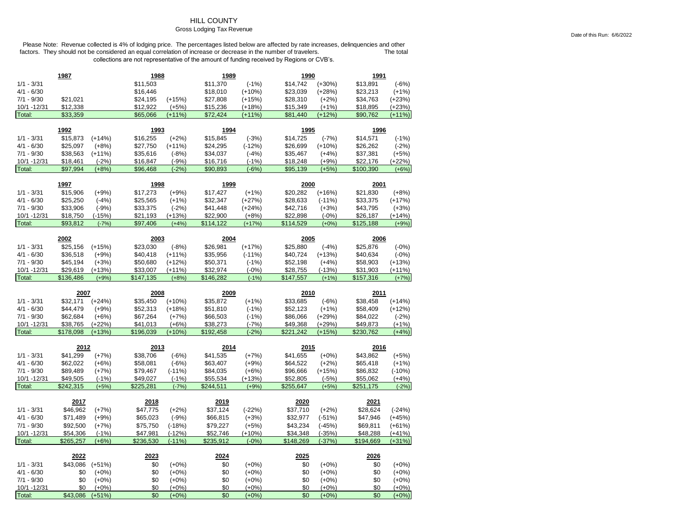## **HILL COUNTY**

#### Gross Lodging Tax Revenue

|                        | 1987            |                     | 1988       |                    | 1989       |                    | 1990       |                    | 1991         |                     |
|------------------------|-----------------|---------------------|------------|--------------------|------------|--------------------|------------|--------------------|--------------|---------------------|
| $1/1 - 3/31$           |                 |                     | \$11,503   |                    | \$11,370   | $(-1%)$            | \$14,742   | $(+30%)$           | \$13,891     | $(-6%)$             |
| $4/1 - 6/30$           |                 |                     | \$16,446   |                    | \$18,010   | $(+10%)$           | \$23,039   | $(+28%)$           | \$23,213     | $(+1%)$             |
| $7/1 - 9/30$           | \$21,021        |                     | \$24,195   | $(+15%)$           | \$27,808   | $(+15%)$           | \$28,310   | $(+2%)$            | \$34,763     | $(+23%)$            |
| 10/1 -12/31            | \$12,338        |                     | \$12,922   | $(+5%)$            | \$15,236   | $(+18%)$           | \$15,349   | $(+1%)$            | \$18,895     | $(+23%)$            |
| Total:                 | \$33,359        |                     | \$65,066   | $(+11%)$           | \$72,424   | $(+11%)$           | \$81,440   | $(+12%)$           | \$90,762     | $(+11%)$            |
|                        |                 |                     |            |                    |            |                    |            |                    |              |                     |
|                        | 1992            |                     | 1993       |                    | 1994       |                    | 1995       |                    | 1996         |                     |
| $1/1 - 3/31$           | \$15,873        | $(+14%)$            | \$16,255   | $(+2%)$            | \$15,845   | $(-3%)$            | \$14,725   | $(-7%)$            | \$14,571     | $(-1%)$             |
| $4/1 - 6/30$           | \$25,097        | $(+8%)$             | \$27,750   | $(+11%)$           | \$24,295   | $(-12%)$           | \$26,699   | $(+10%)$           | \$26,262     | $(-2%)$             |
| $7/1 - 9/30$           | \$38,563        | $(+11%)$            | \$35,616   | $(-8%)$            | \$34,037   | $(-4%)$            | \$35,467   | $(+4%)$            | \$37,381     | $(+5%)$             |
| 10/1 -12/31            | \$18,461        | $(-2%)$             | \$16,847   | $(-9%)$            | \$16,716   | $(-1%)$            | \$18,248   | $(+9%)$            | \$22,176     | $(+22%)$            |
| Total:                 | \$97,994        | $(+8%)$             | \$96,468   | $(-2%)$            | \$90,893   | $(-6%)$            | \$95,139   | $(+5%)$            | \$100,390    | $(+6%)$             |
|                        | 1997            |                     | 1998       |                    | 1999       |                    | 2000       |                    | 2001         |                     |
| $1/1 - 3/31$           | \$15,906        | $(+9%)$             | \$17,273   | $(+9%)$            | \$17,427   | $(+1%)$            | \$20,282   | $(+16%)$           | \$21,830     | $(+8%)$             |
| $4/1 - 6/30$           | \$25,250        | $(-4%)$             | \$25,565   | $(+1%)$            | \$32,347   | $(+27%)$           | \$28,633   | $(-11%)$           | \$33,375     | $(+17%)$            |
| $7/1 - 9/30$           | \$33,906        | $(-9%)$             | \$33,375   | $(-2%)$            | \$41,448   | $(+24%)$           | \$42,716   | $(+3%)$            | \$43,795     | $(+3%)$             |
| 10/1 - 12/31           | \$18,750        | $(-15%)$            | \$21,193   | $(+13%)$           | \$22,900   | $(+8%)$            | \$22,898   | $(-0%)$            | \$26,187     | $(+14%)$            |
| Total:                 | \$93,812        | $(-7%)$             | \$97,406   | $(+4%)$            | \$114,122  | $(+17%)$           | \$114,529  | $(+0%)$            | \$125,188    | $(+9%)$             |
|                        |                 |                     |            |                    |            |                    |            |                    |              |                     |
|                        | 2002            |                     | 2003       |                    | 2004       |                    | 2005       |                    | 2006         |                     |
| $1/1 - 3/31$           | \$25,156        | $(+15%)$            | \$23,030   | $(-8%)$            | \$26,981   | $(+17%)$           | \$25,880   | $(-4%)$            | \$25,876     | $(-0%)$             |
| $4/1 - 6/30$           | \$36,518        | $(+9%)$             | \$40,418   | $(+11%)$           | \$35,956   | $(-11%)$           | \$40,724   | $(+13%)$           | \$40,634     | $(-0%)$             |
| $7/1 - 9/30$           | \$45,194        | $(+3%)$             | \$50,680   | $(+12%)$           | \$50,371   | $(-1%)$            | \$52,198   | $(+4%)$            | \$58,903     | $(+13%)$            |
| 10/1 - 12/31           | \$29,619        | $(+13%)$            | \$33,007   | $(+11%)$           | \$32,974   | $(-0%)$            | \$28,755   | $(-13%)$           | \$31,903     | $(+11%)$            |
| Total:                 | \$136,486       | $(+9%)$             | \$147,135  | $(+8%)$            | \$146,282  | $(-1%)$            | \$147,557  | $(+1%)$            | \$157,316    | $(+7%)$             |
|                        |                 |                     |            |                    |            |                    |            |                    |              |                     |
|                        |                 |                     |            |                    |            |                    |            |                    |              |                     |
|                        | 2007            |                     | 2008       |                    | 2009       |                    | 2010       |                    | 2011         |                     |
| $1/1 - 3/31$           | \$32,171        | $(+24%)$            | \$35,450   | $(+10%)$           | \$35,872   | $(+1%)$            | \$33,685   | $(-6%)$            | \$38,458     | $(+14%)$            |
| $4/1 - 6/30$           | \$44,479        | $(+9%)$             | \$52,313   | $(+18%)$           | \$51,810   | $(-1%)$            | \$52,123   | $(+1%)$            | \$58,409     | $(+12%)$            |
| $7/1 - 9/30$           | \$62,684        | $(+6%)$             | \$67,264   | $(+7%)$            | \$66,503   | $(-1%)$            | \$86,066   | $(+29%)$           | \$84,022     | $(-2%)$             |
| 10/1 - 12/31           | \$38,765        | $(+22%)$            | \$41,013   | $(+6%)$            | \$38,273   | $(-7%)$            | \$49,368   | $(+29%)$           | \$49,873     | $(+1%)$             |
| Total:                 | \$178,098       | $(+13%)$            | \$196,039  | $(+10%)$           | \$192,458  | $(-2%)$            | \$221,242  | $(+15%)$           | \$230,762    | $(+4%)$             |
|                        | 2012            |                     | 2013       |                    | 2014       |                    | 2015       |                    | 2016         |                     |
| $1/1 - 3/31$           | \$41,299        | $(+7%)$             | \$38,706   | $(-6%)$            | \$41,535   | $(+7%)$            | \$41,655   | $(+0%)$            | \$43,862     | $(+5%)$             |
| $4/1 - 6/30$           | \$62,022        | $(+6%)$             | \$58,081   | $(-6%)$            | \$63,407   | $(+9%)$            | \$64,522   | $(+2%)$            | \$65,418     | $(+1%)$             |
| $7/1 - 9/30$           | \$89,489        | $(+7%)$             | \$79,467   | $(-11%)$           | \$84,035   | $(+6%)$            | \$96,666   | $(+15%)$           | \$86,832     | $(-10%)$            |
| 10/1 - 12/31           | \$49,505        | $(-1%)$             | \$49,027   | $(-1%)$            | \$55,534   | $(+13%)$           | \$52,805   | $(-5%)$            | \$55,062     | $(+4%)$             |
| Total:                 | \$242.315       | $(+5%)$             | \$225.281  | $(-7%)$            | \$244,511  | $(+9%)$            | \$255.647  | $(+5%)$            | \$251,175    | $(-2%)$             |
|                        |                 |                     |            |                    |            |                    |            |                    |              |                     |
|                        | 2017            |                     | 2018       |                    | 2019       |                    | 2020       |                    | 2021         |                     |
| $1/1 - 3/31$           | \$46,962        | $(+7%)$             | \$47,775   | $(+2%)$            | \$37,124   | $(-22%)$           | \$37,710   | $(+2%)$            | \$28,624     | $(-24%)$            |
| $4/1 - 6/30$           | \$71,489        | $(+9%)$             | \$65,023   | $(-9%)$            | \$66,815   | $(+3%)$            | \$32,977   | $(-51%)$           | \$47,946     | $(+45%)$            |
| $7/1 - 9/30$           | \$92,500        | $(+7%)$             | \$75,750   | $(-18%)$           | \$79,227   | $(+5%)$            | \$43,234   | $(-45%)$           | \$69,811     | $(+61%)$            |
| 10/1 - 12/31           | \$54,306        | $(-1%)$             | \$47,981   | $(-12%)$           | \$52,746   | $(+10%)$           | \$34,348   | $(-35%)$           | \$48,288     | $(+41%)$            |
| Total:                 | \$265,257       | $(+6%)$             | \$236,530  | $(-11%)$           | \$235,912  | $(-0%)$            | \$148,269  | $(-37%)$           | \$194,669    | $(+31%)$            |
|                        | 2022            |                     | 2023       |                    | 2024       |                    | 2025       |                    | <u> 2026</u> |                     |
| $1/1 - 3/31$           | \$43,086        | $(+51%)$            | \$0        | $(+0%)$            | \$0        | $(+0%)$            | \$0        | $(+0%)$            | \$0          | $(+0\%)$            |
| $4/1 - 6/30$           | \$0             | $(+0%)$             | \$0        | $(+0%)$            | \$0        | $(+0%)$            | \$0        | $(+0\%)$           | \$0          | $(+0\%)$            |
| $7/1 - 9/30$           | \$0             | $(+0%)$             | \$0        | $(+0%)$            | \$0        | $(+0%)$            | \$0        | $(+0\%)$           | \$0          | $(+0%)$             |
| 10/1 - 12/31<br>Total: | \$0<br>\$43,086 | $(+0%)$<br>$(+51%)$ | \$0<br>\$0 | $(+0%)$<br>$(+0%)$ | \$0<br>\$0 | $(+0%)$<br>$(+0%)$ | \$0<br>\$0 | $(+0%)$<br>$(+0%)$ | \$0<br>\$0   | $(+0\%)$<br>$(+0%)$ |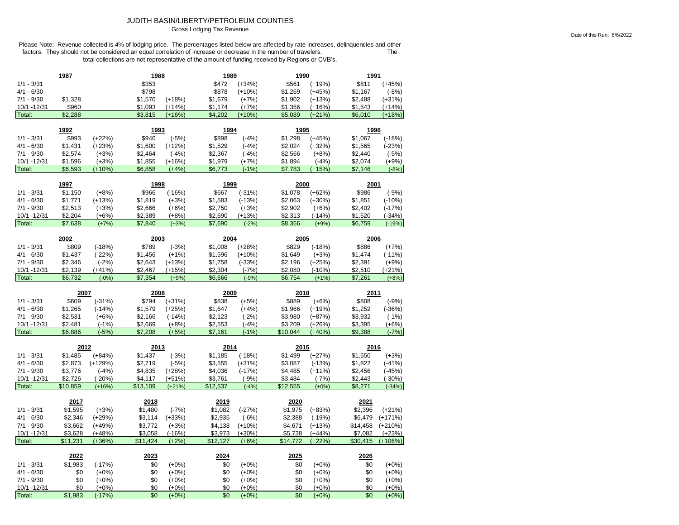### JUDITH BASIN/LIBERTY/PETROLEUM COUNTIES Gross Lodging Tax Revenue

|                        | 1987           |                     | 1988       |                    | 1989       |                    | 1990          |                    | 1991       |                    |
|------------------------|----------------|---------------------|------------|--------------------|------------|--------------------|---------------|--------------------|------------|--------------------|
| $1/1 - 3/31$           |                |                     | \$353      |                    | \$472      | $(+34%)$           | \$561         | $(+19%)$           | \$811      | $(+45%)$           |
| $4/1 - 6/30$           |                |                     | \$798      |                    | \$878      | $(+10%)$           | \$1,269       | $(+45%)$           | \$1,167    | $(-8%)$            |
| $7/1 - 9/30$           | \$1,328        |                     | \$1,570    | $(+18%)$           | \$1,679    | $(+7%)$            | \$1,902       | $(+13%)$           | \$2,488    | $(+31%)$           |
| 10/1 -12/31            | \$960          |                     | \$1,093    | $(+14%)$           | \$1,174    | $(+7%)$            | \$1,356       | $(+16%)$           | \$1,543    | $(+14%)$           |
| Total:                 | \$2,288        |                     | \$3,815    | $(+16%)$           | \$4,202    | $(+10%)$           | \$5,089       | $(+21%)$           | \$6,010    | $(+18%)$           |
|                        |                |                     |            |                    |            |                    |               |                    |            |                    |
|                        | 1992           |                     | 1993       |                    | 1994       |                    | 1995          |                    | 1996       |                    |
| $1/1 - 3/31$           | \$993          | $(+22%)$            | \$940      | $(-5%)$            | \$898      | $(-4%)$            | \$1,298       | $(+45%)$           | \$1,067    | $(-18%)$           |
| $4/1 - 6/30$           | \$1,431        | $(+23%)$            | \$1,600    | $(+12%)$           | \$1,529    | $(-4%)$            | \$2,024       | $(+32%)$           | \$1,565    | $(-23%)$           |
| $7/1 - 9/30$           | \$2,574        | $(+3%)$             | \$2,464    | $(-4%)$            | \$2,367    | $(-4%)$            | \$2,566       | $(+8%)$            | \$2,440    | $(-5%)$            |
| 10/1 - 12/31           | \$1,596        | $(+3%)$             | \$1,855    | $(+16%)$           | \$1,979    | $(+7%)$            | \$1,894       | $(-4%)$            | \$2,074    | $(+9%)$            |
| Total:                 | \$6,593        | $(+10%)$            | \$6,858    | $(+4%)$            | \$6,773    | $(-1%)$            | \$7,783       | $(+15%)$           | \$7,146    | $(-8%)$            |
|                        | 1997           |                     | 1998       |                    | 1999       |                    | 2000          |                    | 2001       |                    |
| $1/1 - 3/31$           | \$1,150        | $(+8%)$             | \$966      | $(-16%)$           | \$667      | $(-31%)$           | \$1,078       | $(+62%)$           | \$986      | $(-9%)$            |
| $4/1 - 6/30$           | \$1,771        | $(+13%)$            | \$1,819    | $(+3%)$            | \$1,583    | $(-13%)$           | \$2,063       | $(+30%)$           | \$1,851    | $(-10%)$           |
| $7/1 - 9/30$           | \$2,513        | $(+3%)$             | \$2,666    | $(+6%)$            | \$2,750    | $(+3%)$            | \$2,902       | $(+6%)$            | \$2,402    | $(-17%)$           |
| 10/1 - 12/31           | \$2,204        | $(+6%)$             | \$2,389    | $(+8%)$            | \$2,690    | $(+13%)$           | \$2,313       | $(-14%)$           | \$1,520    | $(-34%)$           |
| Total:                 | \$7,638        | $(+7%)$             | \$7,840    | $(+3%)$            | \$7,690    | $(-2%)$            | \$8,356       | $(+9%)$            | \$6,759    | $(-19%)$           |
|                        |                |                     |            |                    |            |                    |               |                    |            |                    |
|                        | 2002           |                     | 2003       |                    | 2004       |                    | 2005          |                    | 2006       |                    |
| $1/1 - 3/31$           | \$809          | $(-18%)$            | \$789      | $(-3%)$            | \$1,008    | $(+28%)$           | \$829         | $(-18%)$           | \$886      | $(+7%)$            |
| $4/1 - 6/30$           | \$1,437        | $(-22%)$            | \$1,456    | $(+1%)$            | \$1,596    | $(+10%)$           | \$1,649       | $(+3%)$            | \$1,474    | $(-11%)$           |
| $7/1 - 9/30$           | \$2,346        | $(-2%)$             | \$2,643    | $(+13%)$           | \$1,758    | $(-33%)$           | \$2,196       | $(+25%)$           | \$2,391    | $(+9%)$            |
| 10/1 - 12/31           | \$2,139        | $(+41%)$            | \$2,467    | $(+15%)$           | \$2,304    | $(-7%)$            | \$2,080       | $(-10%)$           | \$2,510    | $(+21%)$           |
| Total:                 | \$6,732        | $(-0%)$             | \$7,354    | $(+9%)$            | \$6,666    | $(-9%)$            | \$6.754       | $(+1%)$            | \$7,261    | $(+8%)$            |
|                        |                |                     |            |                    |            |                    |               |                    |            |                    |
|                        |                |                     |            |                    |            |                    |               |                    |            |                    |
|                        | 2007           |                     | 2008       |                    | 2009       |                    | 2010          |                    | 2011       |                    |
| $1/1 - 3/31$           | \$609          | $(-31%)$            | \$794      | $(+31%)$           | \$838      | $(+5%)$            | \$889         | $(+6%)$            | \$808      | $(-9%)$            |
| $4/1 - 6/30$           | \$1,265        | $(-14%)$            | \$1,579    | $(+25%)$           | \$1,647    | $(+4%)$            | \$1,966       | $(+19%)$           | \$1,252    | $(-36%)$           |
| $7/1 - 9/30$           | \$2,531        | $(+6%)$             | \$2,166    | $(-14%)$           | \$2,123    | $(-2%)$            | \$3,980       | $(+87%)$           | \$3,932    | $(-1%)$            |
| 10/1 - 12/31           | \$2,481        | $(-1%)$             | \$2,669    | $(+8%)$            | \$2,553    | $(-4%)$            | \$3,209       | $(+26%)$           | \$3,395    | $(+6%)$            |
| Total:                 | \$6,886        | $(-5%)$             | \$7,208    | $(+5%)$            | \$7,161    | $(-1%)$            | \$10,044      | $(+40%)$           | \$9,388    | $(-7%)$            |
|                        | 2012           |                     | 2013       |                    | 2014       |                    | 2015          |                    | 2016       |                    |
| $1/1 - 3/31$           | \$1,485        | $(+84%)$            | \$1,437    | $(-3%)$            | \$1,185    | $(-18%)$           | \$1,499       | $(+27%)$           | \$1,550    | $(+3%)$            |
| $4/1 - 6/30$           | \$2,873        | $(+129%)$           | \$2,719    | $(-5%)$            | \$3,555    | $(+31%)$           | \$3,087       | $(-13%)$           | \$1,822    | $(-41%)$           |
| $7/1 - 9/30$           | \$3,776        | $(-4%)$             | \$4,835    | $(+28%)$           | \$4,036    | $(-17%)$           | \$4,485       | $(+11%)$           | \$2,456    | $(-45%)$           |
| 10/1 - 12/31           | \$2,726        | $(-20%)$            | \$4,117    | $(+51%)$           | \$3,761    | $(-9%)$            | \$3,484       | $(-7%)$            | \$2,443    | $(-30%)$           |
| Total:                 | \$10,859       | $(+16%)$            | \$13,109   | $(+21%)$           | \$12,537   | $(-4%)$            | \$12,555      | $(+0%)$            | \$8,271    | $(-34%)$           |
|                        |                |                     |            |                    |            |                    |               |                    |            |                    |
|                        | 2017           |                     | 2018       |                    | 2019       |                    | 2020          |                    | 2021       |                    |
| $1/1 - 3/31$           | \$1,595        | $(+3%)$             | \$1,480    | $(-7%)$            | \$1,082    | $(-27%)$           | \$1,975       | $(+83%)$           | \$2,396    | $(+21%)$           |
| $4/1 - 6/30$           | \$2,346        | $(+29%)$            | \$3,114    | $(+33%)$           | \$2,935    | $(-6%)$            | \$2,388       | $(-19%)$           | \$6,479    | $(+171%)$          |
| $7/1 - 9/30$           | \$3,662        | $(+49%)$            | \$3,772    | $(+3%)$            | \$4,138    | $(+10%)$           | \$4,671       | $(+13%)$           | \$14,458   | $(+210%)$          |
| 10/1 - 12/31           | \$3,628        | $(+48%)$            | \$3,058    | $(-16%)$           | \$3,973    | $(+30%)$           | \$5,738       | $(+44%)$           | \$7,082    | $(+23%)$           |
| Total:                 | \$11,231       | $(+36%)$            | \$11,424   | $(+2%)$            | \$12,127   | $(+6%)$            | \$14,772      | $(+22%)$           | \$30,415   | $(+106%)$          |
|                        | 2022           |                     | 2023       |                    | 2024       |                    | <u> 2025 </u> |                    | 2026       |                    |
| $1/1 - 3/31$           | \$1,983        | $(-17%)$            | \$0        | $(+0%)$            | \$0        | $(+0%)$            | \$0           | $(+0%)$            | \$0        | $(+0%)$            |
| $4/1 - 6/30$           | \$0            | $(+0\%)$            | \$0        | $(+0%)$            | \$0        | $(+0%)$            | \$0           | $(+0%)$            | \$0        | $(+0\%)$           |
| $7/1 - 9/30$           | \$0            | $(+0%)$             | \$0        | $(+0%)$            | \$0        | $(+0%)$            | \$0           | $(+0%)$            | \$0        | $(+0%)$            |
| 10/1 - 12/31<br>Total: | \$0<br>\$1,983 | $(+0%)$<br>$(-17%)$ | \$0<br>\$0 | $(+0%)$<br>$(+0%)$ | \$0<br>\$0 | $(+0%)$<br>$(+0%)$ | \$0<br>\$0    | $(+0%)$<br>$(+0%)$ | \$0<br>\$0 | $(+0%)$<br>$(+0%)$ |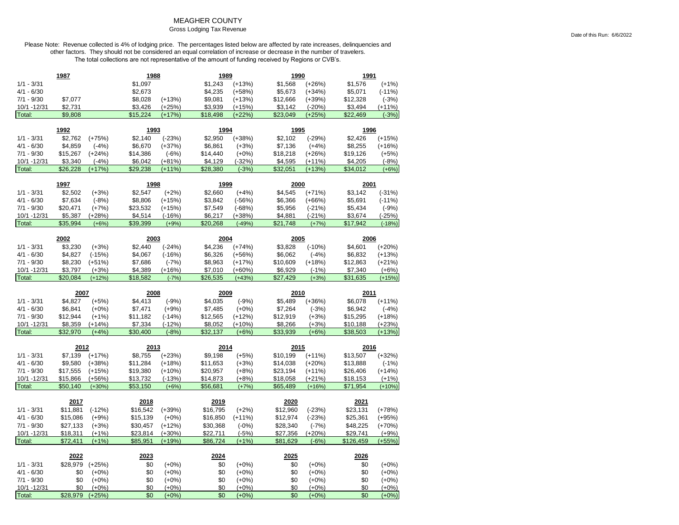## MEAGHER COUNTY

#### Gross Lodging Tax Revenue

| \$1,097<br>$1/1 - 3/31$<br>\$1,243<br>$(+13%)$<br>\$1,568<br>$(+26%)$<br>\$1,576<br>$(+1%)$<br>$4/1 - 6/30$<br>\$2,673<br>\$4,235<br>\$5,673<br>\$5,071<br>$(+58%)$<br>$(+34%)$<br>$(-11%)$<br>$7/1 - 9/30$<br>\$7,077<br>\$8,028<br>$(+13%)$<br>\$9,081<br>\$12,328<br>$(-3%)$<br>$(+13%)$<br>\$12,666<br>$(+39%)$<br>\$2,731<br>$(+25%)$<br>10/1 - 12/31<br>\$3,426<br>\$3,939<br>$(+15%)$<br>\$3,142<br>$(-20%)$<br>\$3,494<br>$(+11%)$<br>$(+22%)$<br>Total:<br>\$9,808<br>\$15,224<br>$(+17%)$<br>\$18,498<br>\$23,049<br>$(+25%)$<br>\$22,469<br>$(-3%)$<br>1992<br>1993<br>1994<br>1995<br>1996<br>\$2,762<br>$1/1 - 3/31$<br>\$2,140<br>$(-23%)$<br>\$2,950<br>$(+38%)$<br>\$2,102<br>$(-29%)$<br>\$2,426<br>$(+15%)$<br>$(+75%)$<br>$4/1 - 6/30$<br>\$4,859<br>\$6,670<br>\$6,861<br>\$7,136<br>\$8,255<br>$(-4%)$<br>$(+37%)$<br>$(+3%)$<br>$(+4%)$<br>$(+16%)$<br>\$14,386<br>\$19,126<br>$7/1 - 9/30$<br>\$15,267<br>$(+24%)$<br>$(-6%)$<br>\$14,440<br>$(+0%)$<br>\$18,218<br>$(+26%)$<br>$(+5%)$<br>10/1 - 12/31<br>\$3,340<br>$(-4%)$<br>\$6,042<br>$(+81%)$<br>\$4,129<br>$(-32%)$<br>\$4,595<br>$(+11%)$<br>\$4,205<br>$(-8%)$<br>\$26,228<br>\$29,238<br>$(+11%)$<br>$(-3%)$<br>$(+13%)$<br>\$34,012<br>Total:<br>$(+17%)$<br>\$28,380<br>\$32,051<br>$(+6%)$<br>1997<br>1998<br>2000<br>2001<br>1999<br>\$2,502<br>\$2,547<br>$(+2%)$<br>\$2,660<br>\$4,545<br>$(-31%)$<br>$1/1 - 3/31$<br>$(+3%)$<br>$(+4%)$<br>$(+71%)$<br>\$3,142<br>$4/1 - 6/30$<br>\$7,634<br>$(-8%)$<br>\$8,806<br>$(+15%)$<br>\$3,842<br>$(-56%)$<br>\$6,366<br>$(+66%)$<br>\$5,691<br>$(-11%)$<br>$7/1 - 9/30$<br>\$20,471<br>$(+7%)$<br>\$23,532<br>$(+15%)$<br>\$7,549<br>$(-68%)$<br>\$5,956<br>\$5,434<br>$(-9%)$<br>$(-21%)$<br>10/1 - 12/31<br>\$5,387<br>\$4,514<br>$(-21%)$<br>\$3,674<br>(+28%)<br>$(-16%)$<br>\$6,217<br>$(+38%)$<br>\$4,881<br>$(-25%)$<br>Total:<br>\$35,994<br>\$21.748<br>\$17,942<br>$(+6%)$<br>\$39,399<br>$(+9%)$<br>\$20,268<br>$(-49%)$<br>$(+7%)$<br>$(-18%)$<br>2002<br>2003<br>2004<br>2005<br>2006<br>$1/1 - 3/31$<br>\$3,230<br>$(+3%)$<br>\$2,440<br>$(-24%)$<br>\$4,236<br>$(+74%)$<br>\$3,828<br>$(-10%)$<br>\$4,601<br>$(+20%)$<br>$4/1 - 6/30$<br>\$4,827<br>$(-15%)$<br>\$4,067<br>$(-16%)$<br>\$6,326<br>\$6,062<br>\$6,832<br>$(+13%)$<br>$(+56%)$<br>$(-4%)$<br>$7/1 - 9/30$<br>\$8,230<br>\$7,686<br>\$8,963<br>\$12,863<br>$(+51%)$<br>$(-7%)$<br>$(+17%)$<br>\$10,609<br>$(+18%)$<br>(+21%)<br>\$3,797<br>\$4,389<br>\$7,340<br>10/1 - 12/31<br>$(+3%)$<br>$(+16%)$<br>\$7,010<br>$(+60%)$<br>\$6,929<br>$(-1%)$<br>$(+6%)$<br>Total:<br>\$20,084<br>\$18,582<br>\$26,535<br>\$27,429<br>\$31,635<br>$(+12%)$<br>$(-7%)$<br>$(+43%)$<br>$(+3%)$<br>$(+15%)$<br>2007<br>2008<br>2011<br>2009<br>2010<br>$1/1 - 3/31$<br>\$4,827<br>$(+5%)$<br>\$4,413<br>$(-9%)$<br>\$4,035<br>$(-9%)$<br>\$5,489<br>$(+36%)$<br>\$6,078<br>$(+11%)$<br>$4/1 - 6/30$<br>\$6,841<br>$(+0\%)$<br>\$7,471<br>$(+9%)$<br>\$7,485<br>$(+0%)$<br>\$7,264<br>\$6,942<br>$(-4%)$<br>$(-3%)$<br>\$12,944<br>7/1 - 9/30<br>$(+1%)$<br>\$11,182<br>$(-14%)$<br>\$12,565<br>$(+12%)$<br>\$12,919<br>$(+3%)$<br>\$15,295<br>$(+18%)$<br>10/1 - 12/31<br>\$8,359<br>$(+14%)$<br>\$7,334<br>$(-12%)$<br>\$8,052<br>$(+10%)$<br>\$8,266<br>$(+3%)$<br>\$10,188<br>$(+23%)$<br>Total:<br>$(+13%)$<br>\$32,970<br>$(+4%)$<br>\$30,400<br>$(-8%)$<br>\$32,137<br>$(+6%)$<br>\$33,939<br>$(+6%)$<br>\$38,503<br>2012<br>2013<br>2014<br>2015<br>2016<br>\$7,139<br>$(+17%)$<br>\$8,755<br>$(+23%)$<br>\$9,198<br>$(+5%)$<br>$(+32%)$<br>$1/1 - 3/31$<br>\$10,199<br>$(+11%)$<br>\$13,507<br>$4/1 - 6/30$<br>\$9,580<br>$(+38%)$<br>\$11,284<br>$(+18%)$<br>\$11,653<br>$(+3%)$<br>$(+20%)$<br>\$13,888<br>$(-1%)$<br>\$14,038<br>$7/1 - 9/30$<br>\$17,555<br>$(+15%)$<br>\$19,380<br>\$20,957<br>$(+8%)$<br>\$23,194<br>$(+11%)$<br>\$26,406<br>$(+14%)$<br>$(+10%)$<br>10/1 - 12/31<br>$(-13%)$<br>$(+21%)$<br>\$15,866<br>$(+56%)$<br>\$13,732<br>\$14,873<br>(+8%)<br>\$18,058<br>\$18,153<br>$(+1%)$<br>Total:<br>\$50,140<br>\$53,150<br>\$65,489<br>\$71,954<br>$(+30%)$<br>$(+6%)$<br>\$56,681<br>$(+7%)$<br>$(+16%)$<br>$(+10%)$<br>2017<br>2018<br>2019<br>2020<br>2021<br>\$11,881<br>$(-12%)$<br>\$16,542<br>$(+39%)$<br>\$16,795<br>$1/1 - 3/31$<br>$(+2%)$<br>\$12,960<br>$(-23%)$<br>\$23,131<br>$(+78%)$<br>$4/1 - 6/30$<br>\$15,086<br>$(+9%)$<br>\$15,139<br>$(+0%)$<br>\$16,850<br>$(+11%)$<br>\$12,974<br>\$25,361<br>$(-23%)$<br>$(+95%)$<br>$7/1 - 9/30$<br>\$27,133<br>$(+3%)$<br>\$30,457<br>$(+12%)$<br>\$30,368<br>$(-0%)$<br>\$28,340<br>$(-7%)$<br>\$48,225<br>$(+70%)$<br>10/1 - 12/31<br>\$18,311<br>$(+1%)$<br>\$23,814<br>$(+30%)$<br>\$22,711<br>$(-5%)$<br>$(+20%)$<br>\$29,741<br>$(+9%)$<br>\$27,356<br>Total:<br>\$72,411<br>$(+1%)$<br>\$85,951<br>\$86,724<br>$(+1%)$<br>\$81,629<br>\$126,459<br>$(+19%)$<br>$(-6%)$<br>(+55%)<br>2023<br>2024<br>2026<br>2022<br>2025 |
|-------------------------------------------------------------------------------------------------------------------------------------------------------------------------------------------------------------------------------------------------------------------------------------------------------------------------------------------------------------------------------------------------------------------------------------------------------------------------------------------------------------------------------------------------------------------------------------------------------------------------------------------------------------------------------------------------------------------------------------------------------------------------------------------------------------------------------------------------------------------------------------------------------------------------------------------------------------------------------------------------------------------------------------------------------------------------------------------------------------------------------------------------------------------------------------------------------------------------------------------------------------------------------------------------------------------------------------------------------------------------------------------------------------------------------------------------------------------------------------------------------------------------------------------------------------------------------------------------------------------------------------------------------------------------------------------------------------------------------------------------------------------------------------------------------------------------------------------------------------------------------------------------------------------------------------------------------------------------------------------------------------------------------------------------------------------------------------------------------------------------------------------------------------------------------------------------------------------------------------------------------------------------------------------------------------------------------------------------------------------------------------------------------------------------------------------------------------------------------------------------------------------------------------------------------------------------------------------------------------------------------------------------------------------------------------------------------------------------------------------------------------------------------------------------------------------------------------------------------------------------------------------------------------------------------------------------------------------------------------------------------------------------------------------------------------------------------------------------------------------------------------------------------------------------------------------------------------------------------------------------------------------------------------------------------------------------------------------------------------------------------------------------------------------------------------------------------------------------------------------------------------------------------------------------------------------------------------------------------------------------------------------------------------------------------------------------------------------------------------------------------------------------------------------------------------------------------------------------------------------------------------------------------------------------------------------------------------------------------------------------------------------------------------------------------------------------------------------------------------------------------------------------------------------------------------------------------------------------------------------------------------------------------------------------------------------------------------------------------------------------------------------------------------------------------------------------------------------------------------------------------------------------------------------------------------------------------------------------------------------------------------------------------------------------------------------------------------------------------------------------------------------------------------------------------------------------------------------------------------------------------------------------------------------------|
|                                                                                                                                                                                                                                                                                                                                                                                                                                                                                                                                                                                                                                                                                                                                                                                                                                                                                                                                                                                                                                                                                                                                                                                                                                                                                                                                                                                                                                                                                                                                                                                                                                                                                                                                                                                                                                                                                                                                                                                                                                                                                                                                                                                                                                                                                                                                                                                                                                                                                                                                                                                                                                                                                                                                                                                                                                                                                                                                                                                                                                                                                                                                                                                                                                                                                                                                                                                                                                                                                                                                                                                                                                                                                                                                                                                                                                                                                                                                                                                                                                                                                                                                                                                                                                                                                                                                                                                                                                                                                                                                                                                                                                                                                                                                                                                                                                                                                                                         |
|                                                                                                                                                                                                                                                                                                                                                                                                                                                                                                                                                                                                                                                                                                                                                                                                                                                                                                                                                                                                                                                                                                                                                                                                                                                                                                                                                                                                                                                                                                                                                                                                                                                                                                                                                                                                                                                                                                                                                                                                                                                                                                                                                                                                                                                                                                                                                                                                                                                                                                                                                                                                                                                                                                                                                                                                                                                                                                                                                                                                                                                                                                                                                                                                                                                                                                                                                                                                                                                                                                                                                                                                                                                                                                                                                                                                                                                                                                                                                                                                                                                                                                                                                                                                                                                                                                                                                                                                                                                                                                                                                                                                                                                                                                                                                                                                                                                                                                                         |
|                                                                                                                                                                                                                                                                                                                                                                                                                                                                                                                                                                                                                                                                                                                                                                                                                                                                                                                                                                                                                                                                                                                                                                                                                                                                                                                                                                                                                                                                                                                                                                                                                                                                                                                                                                                                                                                                                                                                                                                                                                                                                                                                                                                                                                                                                                                                                                                                                                                                                                                                                                                                                                                                                                                                                                                                                                                                                                                                                                                                                                                                                                                                                                                                                                                                                                                                                                                                                                                                                                                                                                                                                                                                                                                                                                                                                                                                                                                                                                                                                                                                                                                                                                                                                                                                                                                                                                                                                                                                                                                                                                                                                                                                                                                                                                                                                                                                                                                         |
|                                                                                                                                                                                                                                                                                                                                                                                                                                                                                                                                                                                                                                                                                                                                                                                                                                                                                                                                                                                                                                                                                                                                                                                                                                                                                                                                                                                                                                                                                                                                                                                                                                                                                                                                                                                                                                                                                                                                                                                                                                                                                                                                                                                                                                                                                                                                                                                                                                                                                                                                                                                                                                                                                                                                                                                                                                                                                                                                                                                                                                                                                                                                                                                                                                                                                                                                                                                                                                                                                                                                                                                                                                                                                                                                                                                                                                                                                                                                                                                                                                                                                                                                                                                                                                                                                                                                                                                                                                                                                                                                                                                                                                                                                                                                                                                                                                                                                                                         |
|                                                                                                                                                                                                                                                                                                                                                                                                                                                                                                                                                                                                                                                                                                                                                                                                                                                                                                                                                                                                                                                                                                                                                                                                                                                                                                                                                                                                                                                                                                                                                                                                                                                                                                                                                                                                                                                                                                                                                                                                                                                                                                                                                                                                                                                                                                                                                                                                                                                                                                                                                                                                                                                                                                                                                                                                                                                                                                                                                                                                                                                                                                                                                                                                                                                                                                                                                                                                                                                                                                                                                                                                                                                                                                                                                                                                                                                                                                                                                                                                                                                                                                                                                                                                                                                                                                                                                                                                                                                                                                                                                                                                                                                                                                                                                                                                                                                                                                                         |
|                                                                                                                                                                                                                                                                                                                                                                                                                                                                                                                                                                                                                                                                                                                                                                                                                                                                                                                                                                                                                                                                                                                                                                                                                                                                                                                                                                                                                                                                                                                                                                                                                                                                                                                                                                                                                                                                                                                                                                                                                                                                                                                                                                                                                                                                                                                                                                                                                                                                                                                                                                                                                                                                                                                                                                                                                                                                                                                                                                                                                                                                                                                                                                                                                                                                                                                                                                                                                                                                                                                                                                                                                                                                                                                                                                                                                                                                                                                                                                                                                                                                                                                                                                                                                                                                                                                                                                                                                                                                                                                                                                                                                                                                                                                                                                                                                                                                                                                         |
|                                                                                                                                                                                                                                                                                                                                                                                                                                                                                                                                                                                                                                                                                                                                                                                                                                                                                                                                                                                                                                                                                                                                                                                                                                                                                                                                                                                                                                                                                                                                                                                                                                                                                                                                                                                                                                                                                                                                                                                                                                                                                                                                                                                                                                                                                                                                                                                                                                                                                                                                                                                                                                                                                                                                                                                                                                                                                                                                                                                                                                                                                                                                                                                                                                                                                                                                                                                                                                                                                                                                                                                                                                                                                                                                                                                                                                                                                                                                                                                                                                                                                                                                                                                                                                                                                                                                                                                                                                                                                                                                                                                                                                                                                                                                                                                                                                                                                                                         |
|                                                                                                                                                                                                                                                                                                                                                                                                                                                                                                                                                                                                                                                                                                                                                                                                                                                                                                                                                                                                                                                                                                                                                                                                                                                                                                                                                                                                                                                                                                                                                                                                                                                                                                                                                                                                                                                                                                                                                                                                                                                                                                                                                                                                                                                                                                                                                                                                                                                                                                                                                                                                                                                                                                                                                                                                                                                                                                                                                                                                                                                                                                                                                                                                                                                                                                                                                                                                                                                                                                                                                                                                                                                                                                                                                                                                                                                                                                                                                                                                                                                                                                                                                                                                                                                                                                                                                                                                                                                                                                                                                                                                                                                                                                                                                                                                                                                                                                                         |
|                                                                                                                                                                                                                                                                                                                                                                                                                                                                                                                                                                                                                                                                                                                                                                                                                                                                                                                                                                                                                                                                                                                                                                                                                                                                                                                                                                                                                                                                                                                                                                                                                                                                                                                                                                                                                                                                                                                                                                                                                                                                                                                                                                                                                                                                                                                                                                                                                                                                                                                                                                                                                                                                                                                                                                                                                                                                                                                                                                                                                                                                                                                                                                                                                                                                                                                                                                                                                                                                                                                                                                                                                                                                                                                                                                                                                                                                                                                                                                                                                                                                                                                                                                                                                                                                                                                                                                                                                                                                                                                                                                                                                                                                                                                                                                                                                                                                                                                         |
|                                                                                                                                                                                                                                                                                                                                                                                                                                                                                                                                                                                                                                                                                                                                                                                                                                                                                                                                                                                                                                                                                                                                                                                                                                                                                                                                                                                                                                                                                                                                                                                                                                                                                                                                                                                                                                                                                                                                                                                                                                                                                                                                                                                                                                                                                                                                                                                                                                                                                                                                                                                                                                                                                                                                                                                                                                                                                                                                                                                                                                                                                                                                                                                                                                                                                                                                                                                                                                                                                                                                                                                                                                                                                                                                                                                                                                                                                                                                                                                                                                                                                                                                                                                                                                                                                                                                                                                                                                                                                                                                                                                                                                                                                                                                                                                                                                                                                                                         |
|                                                                                                                                                                                                                                                                                                                                                                                                                                                                                                                                                                                                                                                                                                                                                                                                                                                                                                                                                                                                                                                                                                                                                                                                                                                                                                                                                                                                                                                                                                                                                                                                                                                                                                                                                                                                                                                                                                                                                                                                                                                                                                                                                                                                                                                                                                                                                                                                                                                                                                                                                                                                                                                                                                                                                                                                                                                                                                                                                                                                                                                                                                                                                                                                                                                                                                                                                                                                                                                                                                                                                                                                                                                                                                                                                                                                                                                                                                                                                                                                                                                                                                                                                                                                                                                                                                                                                                                                                                                                                                                                                                                                                                                                                                                                                                                                                                                                                                                         |
|                                                                                                                                                                                                                                                                                                                                                                                                                                                                                                                                                                                                                                                                                                                                                                                                                                                                                                                                                                                                                                                                                                                                                                                                                                                                                                                                                                                                                                                                                                                                                                                                                                                                                                                                                                                                                                                                                                                                                                                                                                                                                                                                                                                                                                                                                                                                                                                                                                                                                                                                                                                                                                                                                                                                                                                                                                                                                                                                                                                                                                                                                                                                                                                                                                                                                                                                                                                                                                                                                                                                                                                                                                                                                                                                                                                                                                                                                                                                                                                                                                                                                                                                                                                                                                                                                                                                                                                                                                                                                                                                                                                                                                                                                                                                                                                                                                                                                                                         |
|                                                                                                                                                                                                                                                                                                                                                                                                                                                                                                                                                                                                                                                                                                                                                                                                                                                                                                                                                                                                                                                                                                                                                                                                                                                                                                                                                                                                                                                                                                                                                                                                                                                                                                                                                                                                                                                                                                                                                                                                                                                                                                                                                                                                                                                                                                                                                                                                                                                                                                                                                                                                                                                                                                                                                                                                                                                                                                                                                                                                                                                                                                                                                                                                                                                                                                                                                                                                                                                                                                                                                                                                                                                                                                                                                                                                                                                                                                                                                                                                                                                                                                                                                                                                                                                                                                                                                                                                                                                                                                                                                                                                                                                                                                                                                                                                                                                                                                                         |
|                                                                                                                                                                                                                                                                                                                                                                                                                                                                                                                                                                                                                                                                                                                                                                                                                                                                                                                                                                                                                                                                                                                                                                                                                                                                                                                                                                                                                                                                                                                                                                                                                                                                                                                                                                                                                                                                                                                                                                                                                                                                                                                                                                                                                                                                                                                                                                                                                                                                                                                                                                                                                                                                                                                                                                                                                                                                                                                                                                                                                                                                                                                                                                                                                                                                                                                                                                                                                                                                                                                                                                                                                                                                                                                                                                                                                                                                                                                                                                                                                                                                                                                                                                                                                                                                                                                                                                                                                                                                                                                                                                                                                                                                                                                                                                                                                                                                                                                         |
|                                                                                                                                                                                                                                                                                                                                                                                                                                                                                                                                                                                                                                                                                                                                                                                                                                                                                                                                                                                                                                                                                                                                                                                                                                                                                                                                                                                                                                                                                                                                                                                                                                                                                                                                                                                                                                                                                                                                                                                                                                                                                                                                                                                                                                                                                                                                                                                                                                                                                                                                                                                                                                                                                                                                                                                                                                                                                                                                                                                                                                                                                                                                                                                                                                                                                                                                                                                                                                                                                                                                                                                                                                                                                                                                                                                                                                                                                                                                                                                                                                                                                                                                                                                                                                                                                                                                                                                                                                                                                                                                                                                                                                                                                                                                                                                                                                                                                                                         |
|                                                                                                                                                                                                                                                                                                                                                                                                                                                                                                                                                                                                                                                                                                                                                                                                                                                                                                                                                                                                                                                                                                                                                                                                                                                                                                                                                                                                                                                                                                                                                                                                                                                                                                                                                                                                                                                                                                                                                                                                                                                                                                                                                                                                                                                                                                                                                                                                                                                                                                                                                                                                                                                                                                                                                                                                                                                                                                                                                                                                                                                                                                                                                                                                                                                                                                                                                                                                                                                                                                                                                                                                                                                                                                                                                                                                                                                                                                                                                                                                                                                                                                                                                                                                                                                                                                                                                                                                                                                                                                                                                                                                                                                                                                                                                                                                                                                                                                                         |
|                                                                                                                                                                                                                                                                                                                                                                                                                                                                                                                                                                                                                                                                                                                                                                                                                                                                                                                                                                                                                                                                                                                                                                                                                                                                                                                                                                                                                                                                                                                                                                                                                                                                                                                                                                                                                                                                                                                                                                                                                                                                                                                                                                                                                                                                                                                                                                                                                                                                                                                                                                                                                                                                                                                                                                                                                                                                                                                                                                                                                                                                                                                                                                                                                                                                                                                                                                                                                                                                                                                                                                                                                                                                                                                                                                                                                                                                                                                                                                                                                                                                                                                                                                                                                                                                                                                                                                                                                                                                                                                                                                                                                                                                                                                                                                                                                                                                                                                         |
|                                                                                                                                                                                                                                                                                                                                                                                                                                                                                                                                                                                                                                                                                                                                                                                                                                                                                                                                                                                                                                                                                                                                                                                                                                                                                                                                                                                                                                                                                                                                                                                                                                                                                                                                                                                                                                                                                                                                                                                                                                                                                                                                                                                                                                                                                                                                                                                                                                                                                                                                                                                                                                                                                                                                                                                                                                                                                                                                                                                                                                                                                                                                                                                                                                                                                                                                                                                                                                                                                                                                                                                                                                                                                                                                                                                                                                                                                                                                                                                                                                                                                                                                                                                                                                                                                                                                                                                                                                                                                                                                                                                                                                                                                                                                                                                                                                                                                                                         |
|                                                                                                                                                                                                                                                                                                                                                                                                                                                                                                                                                                                                                                                                                                                                                                                                                                                                                                                                                                                                                                                                                                                                                                                                                                                                                                                                                                                                                                                                                                                                                                                                                                                                                                                                                                                                                                                                                                                                                                                                                                                                                                                                                                                                                                                                                                                                                                                                                                                                                                                                                                                                                                                                                                                                                                                                                                                                                                                                                                                                                                                                                                                                                                                                                                                                                                                                                                                                                                                                                                                                                                                                                                                                                                                                                                                                                                                                                                                                                                                                                                                                                                                                                                                                                                                                                                                                                                                                                                                                                                                                                                                                                                                                                                                                                                                                                                                                                                                         |
|                                                                                                                                                                                                                                                                                                                                                                                                                                                                                                                                                                                                                                                                                                                                                                                                                                                                                                                                                                                                                                                                                                                                                                                                                                                                                                                                                                                                                                                                                                                                                                                                                                                                                                                                                                                                                                                                                                                                                                                                                                                                                                                                                                                                                                                                                                                                                                                                                                                                                                                                                                                                                                                                                                                                                                                                                                                                                                                                                                                                                                                                                                                                                                                                                                                                                                                                                                                                                                                                                                                                                                                                                                                                                                                                                                                                                                                                                                                                                                                                                                                                                                                                                                                                                                                                                                                                                                                                                                                                                                                                                                                                                                                                                                                                                                                                                                                                                                                         |
|                                                                                                                                                                                                                                                                                                                                                                                                                                                                                                                                                                                                                                                                                                                                                                                                                                                                                                                                                                                                                                                                                                                                                                                                                                                                                                                                                                                                                                                                                                                                                                                                                                                                                                                                                                                                                                                                                                                                                                                                                                                                                                                                                                                                                                                                                                                                                                                                                                                                                                                                                                                                                                                                                                                                                                                                                                                                                                                                                                                                                                                                                                                                                                                                                                                                                                                                                                                                                                                                                                                                                                                                                                                                                                                                                                                                                                                                                                                                                                                                                                                                                                                                                                                                                                                                                                                                                                                                                                                                                                                                                                                                                                                                                                                                                                                                                                                                                                                         |
|                                                                                                                                                                                                                                                                                                                                                                                                                                                                                                                                                                                                                                                                                                                                                                                                                                                                                                                                                                                                                                                                                                                                                                                                                                                                                                                                                                                                                                                                                                                                                                                                                                                                                                                                                                                                                                                                                                                                                                                                                                                                                                                                                                                                                                                                                                                                                                                                                                                                                                                                                                                                                                                                                                                                                                                                                                                                                                                                                                                                                                                                                                                                                                                                                                                                                                                                                                                                                                                                                                                                                                                                                                                                                                                                                                                                                                                                                                                                                                                                                                                                                                                                                                                                                                                                                                                                                                                                                                                                                                                                                                                                                                                                                                                                                                                                                                                                                                                         |
|                                                                                                                                                                                                                                                                                                                                                                                                                                                                                                                                                                                                                                                                                                                                                                                                                                                                                                                                                                                                                                                                                                                                                                                                                                                                                                                                                                                                                                                                                                                                                                                                                                                                                                                                                                                                                                                                                                                                                                                                                                                                                                                                                                                                                                                                                                                                                                                                                                                                                                                                                                                                                                                                                                                                                                                                                                                                                                                                                                                                                                                                                                                                                                                                                                                                                                                                                                                                                                                                                                                                                                                                                                                                                                                                                                                                                                                                                                                                                                                                                                                                                                                                                                                                                                                                                                                                                                                                                                                                                                                                                                                                                                                                                                                                                                                                                                                                                                                         |
|                                                                                                                                                                                                                                                                                                                                                                                                                                                                                                                                                                                                                                                                                                                                                                                                                                                                                                                                                                                                                                                                                                                                                                                                                                                                                                                                                                                                                                                                                                                                                                                                                                                                                                                                                                                                                                                                                                                                                                                                                                                                                                                                                                                                                                                                                                                                                                                                                                                                                                                                                                                                                                                                                                                                                                                                                                                                                                                                                                                                                                                                                                                                                                                                                                                                                                                                                                                                                                                                                                                                                                                                                                                                                                                                                                                                                                                                                                                                                                                                                                                                                                                                                                                                                                                                                                                                                                                                                                                                                                                                                                                                                                                                                                                                                                                                                                                                                                                         |
|                                                                                                                                                                                                                                                                                                                                                                                                                                                                                                                                                                                                                                                                                                                                                                                                                                                                                                                                                                                                                                                                                                                                                                                                                                                                                                                                                                                                                                                                                                                                                                                                                                                                                                                                                                                                                                                                                                                                                                                                                                                                                                                                                                                                                                                                                                                                                                                                                                                                                                                                                                                                                                                                                                                                                                                                                                                                                                                                                                                                                                                                                                                                                                                                                                                                                                                                                                                                                                                                                                                                                                                                                                                                                                                                                                                                                                                                                                                                                                                                                                                                                                                                                                                                                                                                                                                                                                                                                                                                                                                                                                                                                                                                                                                                                                                                                                                                                                                         |
|                                                                                                                                                                                                                                                                                                                                                                                                                                                                                                                                                                                                                                                                                                                                                                                                                                                                                                                                                                                                                                                                                                                                                                                                                                                                                                                                                                                                                                                                                                                                                                                                                                                                                                                                                                                                                                                                                                                                                                                                                                                                                                                                                                                                                                                                                                                                                                                                                                                                                                                                                                                                                                                                                                                                                                                                                                                                                                                                                                                                                                                                                                                                                                                                                                                                                                                                                                                                                                                                                                                                                                                                                                                                                                                                                                                                                                                                                                                                                                                                                                                                                                                                                                                                                                                                                                                                                                                                                                                                                                                                                                                                                                                                                                                                                                                                                                                                                                                         |
|                                                                                                                                                                                                                                                                                                                                                                                                                                                                                                                                                                                                                                                                                                                                                                                                                                                                                                                                                                                                                                                                                                                                                                                                                                                                                                                                                                                                                                                                                                                                                                                                                                                                                                                                                                                                                                                                                                                                                                                                                                                                                                                                                                                                                                                                                                                                                                                                                                                                                                                                                                                                                                                                                                                                                                                                                                                                                                                                                                                                                                                                                                                                                                                                                                                                                                                                                                                                                                                                                                                                                                                                                                                                                                                                                                                                                                                                                                                                                                                                                                                                                                                                                                                                                                                                                                                                                                                                                                                                                                                                                                                                                                                                                                                                                                                                                                                                                                                         |
|                                                                                                                                                                                                                                                                                                                                                                                                                                                                                                                                                                                                                                                                                                                                                                                                                                                                                                                                                                                                                                                                                                                                                                                                                                                                                                                                                                                                                                                                                                                                                                                                                                                                                                                                                                                                                                                                                                                                                                                                                                                                                                                                                                                                                                                                                                                                                                                                                                                                                                                                                                                                                                                                                                                                                                                                                                                                                                                                                                                                                                                                                                                                                                                                                                                                                                                                                                                                                                                                                                                                                                                                                                                                                                                                                                                                                                                                                                                                                                                                                                                                                                                                                                                                                                                                                                                                                                                                                                                                                                                                                                                                                                                                                                                                                                                                                                                                                                                         |
|                                                                                                                                                                                                                                                                                                                                                                                                                                                                                                                                                                                                                                                                                                                                                                                                                                                                                                                                                                                                                                                                                                                                                                                                                                                                                                                                                                                                                                                                                                                                                                                                                                                                                                                                                                                                                                                                                                                                                                                                                                                                                                                                                                                                                                                                                                                                                                                                                                                                                                                                                                                                                                                                                                                                                                                                                                                                                                                                                                                                                                                                                                                                                                                                                                                                                                                                                                                                                                                                                                                                                                                                                                                                                                                                                                                                                                                                                                                                                                                                                                                                                                                                                                                                                                                                                                                                                                                                                                                                                                                                                                                                                                                                                                                                                                                                                                                                                                                         |
|                                                                                                                                                                                                                                                                                                                                                                                                                                                                                                                                                                                                                                                                                                                                                                                                                                                                                                                                                                                                                                                                                                                                                                                                                                                                                                                                                                                                                                                                                                                                                                                                                                                                                                                                                                                                                                                                                                                                                                                                                                                                                                                                                                                                                                                                                                                                                                                                                                                                                                                                                                                                                                                                                                                                                                                                                                                                                                                                                                                                                                                                                                                                                                                                                                                                                                                                                                                                                                                                                                                                                                                                                                                                                                                                                                                                                                                                                                                                                                                                                                                                                                                                                                                                                                                                                                                                                                                                                                                                                                                                                                                                                                                                                                                                                                                                                                                                                                                         |
|                                                                                                                                                                                                                                                                                                                                                                                                                                                                                                                                                                                                                                                                                                                                                                                                                                                                                                                                                                                                                                                                                                                                                                                                                                                                                                                                                                                                                                                                                                                                                                                                                                                                                                                                                                                                                                                                                                                                                                                                                                                                                                                                                                                                                                                                                                                                                                                                                                                                                                                                                                                                                                                                                                                                                                                                                                                                                                                                                                                                                                                                                                                                                                                                                                                                                                                                                                                                                                                                                                                                                                                                                                                                                                                                                                                                                                                                                                                                                                                                                                                                                                                                                                                                                                                                                                                                                                                                                                                                                                                                                                                                                                                                                                                                                                                                                                                                                                                         |
|                                                                                                                                                                                                                                                                                                                                                                                                                                                                                                                                                                                                                                                                                                                                                                                                                                                                                                                                                                                                                                                                                                                                                                                                                                                                                                                                                                                                                                                                                                                                                                                                                                                                                                                                                                                                                                                                                                                                                                                                                                                                                                                                                                                                                                                                                                                                                                                                                                                                                                                                                                                                                                                                                                                                                                                                                                                                                                                                                                                                                                                                                                                                                                                                                                                                                                                                                                                                                                                                                                                                                                                                                                                                                                                                                                                                                                                                                                                                                                                                                                                                                                                                                                                                                                                                                                                                                                                                                                                                                                                                                                                                                                                                                                                                                                                                                                                                                                                         |
|                                                                                                                                                                                                                                                                                                                                                                                                                                                                                                                                                                                                                                                                                                                                                                                                                                                                                                                                                                                                                                                                                                                                                                                                                                                                                                                                                                                                                                                                                                                                                                                                                                                                                                                                                                                                                                                                                                                                                                                                                                                                                                                                                                                                                                                                                                                                                                                                                                                                                                                                                                                                                                                                                                                                                                                                                                                                                                                                                                                                                                                                                                                                                                                                                                                                                                                                                                                                                                                                                                                                                                                                                                                                                                                                                                                                                                                                                                                                                                                                                                                                                                                                                                                                                                                                                                                                                                                                                                                                                                                                                                                                                                                                                                                                                                                                                                                                                                                         |
|                                                                                                                                                                                                                                                                                                                                                                                                                                                                                                                                                                                                                                                                                                                                                                                                                                                                                                                                                                                                                                                                                                                                                                                                                                                                                                                                                                                                                                                                                                                                                                                                                                                                                                                                                                                                                                                                                                                                                                                                                                                                                                                                                                                                                                                                                                                                                                                                                                                                                                                                                                                                                                                                                                                                                                                                                                                                                                                                                                                                                                                                                                                                                                                                                                                                                                                                                                                                                                                                                                                                                                                                                                                                                                                                                                                                                                                                                                                                                                                                                                                                                                                                                                                                                                                                                                                                                                                                                                                                                                                                                                                                                                                                                                                                                                                                                                                                                                                         |
|                                                                                                                                                                                                                                                                                                                                                                                                                                                                                                                                                                                                                                                                                                                                                                                                                                                                                                                                                                                                                                                                                                                                                                                                                                                                                                                                                                                                                                                                                                                                                                                                                                                                                                                                                                                                                                                                                                                                                                                                                                                                                                                                                                                                                                                                                                                                                                                                                                                                                                                                                                                                                                                                                                                                                                                                                                                                                                                                                                                                                                                                                                                                                                                                                                                                                                                                                                                                                                                                                                                                                                                                                                                                                                                                                                                                                                                                                                                                                                                                                                                                                                                                                                                                                                                                                                                                                                                                                                                                                                                                                                                                                                                                                                                                                                                                                                                                                                                         |
|                                                                                                                                                                                                                                                                                                                                                                                                                                                                                                                                                                                                                                                                                                                                                                                                                                                                                                                                                                                                                                                                                                                                                                                                                                                                                                                                                                                                                                                                                                                                                                                                                                                                                                                                                                                                                                                                                                                                                                                                                                                                                                                                                                                                                                                                                                                                                                                                                                                                                                                                                                                                                                                                                                                                                                                                                                                                                                                                                                                                                                                                                                                                                                                                                                                                                                                                                                                                                                                                                                                                                                                                                                                                                                                                                                                                                                                                                                                                                                                                                                                                                                                                                                                                                                                                                                                                                                                                                                                                                                                                                                                                                                                                                                                                                                                                                                                                                                                         |
|                                                                                                                                                                                                                                                                                                                                                                                                                                                                                                                                                                                                                                                                                                                                                                                                                                                                                                                                                                                                                                                                                                                                                                                                                                                                                                                                                                                                                                                                                                                                                                                                                                                                                                                                                                                                                                                                                                                                                                                                                                                                                                                                                                                                                                                                                                                                                                                                                                                                                                                                                                                                                                                                                                                                                                                                                                                                                                                                                                                                                                                                                                                                                                                                                                                                                                                                                                                                                                                                                                                                                                                                                                                                                                                                                                                                                                                                                                                                                                                                                                                                                                                                                                                                                                                                                                                                                                                                                                                                                                                                                                                                                                                                                                                                                                                                                                                                                                                         |
|                                                                                                                                                                                                                                                                                                                                                                                                                                                                                                                                                                                                                                                                                                                                                                                                                                                                                                                                                                                                                                                                                                                                                                                                                                                                                                                                                                                                                                                                                                                                                                                                                                                                                                                                                                                                                                                                                                                                                                                                                                                                                                                                                                                                                                                                                                                                                                                                                                                                                                                                                                                                                                                                                                                                                                                                                                                                                                                                                                                                                                                                                                                                                                                                                                                                                                                                                                                                                                                                                                                                                                                                                                                                                                                                                                                                                                                                                                                                                                                                                                                                                                                                                                                                                                                                                                                                                                                                                                                                                                                                                                                                                                                                                                                                                                                                                                                                                                                         |
|                                                                                                                                                                                                                                                                                                                                                                                                                                                                                                                                                                                                                                                                                                                                                                                                                                                                                                                                                                                                                                                                                                                                                                                                                                                                                                                                                                                                                                                                                                                                                                                                                                                                                                                                                                                                                                                                                                                                                                                                                                                                                                                                                                                                                                                                                                                                                                                                                                                                                                                                                                                                                                                                                                                                                                                                                                                                                                                                                                                                                                                                                                                                                                                                                                                                                                                                                                                                                                                                                                                                                                                                                                                                                                                                                                                                                                                                                                                                                                                                                                                                                                                                                                                                                                                                                                                                                                                                                                                                                                                                                                                                                                                                                                                                                                                                                                                                                                                         |
|                                                                                                                                                                                                                                                                                                                                                                                                                                                                                                                                                                                                                                                                                                                                                                                                                                                                                                                                                                                                                                                                                                                                                                                                                                                                                                                                                                                                                                                                                                                                                                                                                                                                                                                                                                                                                                                                                                                                                                                                                                                                                                                                                                                                                                                                                                                                                                                                                                                                                                                                                                                                                                                                                                                                                                                                                                                                                                                                                                                                                                                                                                                                                                                                                                                                                                                                                                                                                                                                                                                                                                                                                                                                                                                                                                                                                                                                                                                                                                                                                                                                                                                                                                                                                                                                                                                                                                                                                                                                                                                                                                                                                                                                                                                                                                                                                                                                                                                         |
|                                                                                                                                                                                                                                                                                                                                                                                                                                                                                                                                                                                                                                                                                                                                                                                                                                                                                                                                                                                                                                                                                                                                                                                                                                                                                                                                                                                                                                                                                                                                                                                                                                                                                                                                                                                                                                                                                                                                                                                                                                                                                                                                                                                                                                                                                                                                                                                                                                                                                                                                                                                                                                                                                                                                                                                                                                                                                                                                                                                                                                                                                                                                                                                                                                                                                                                                                                                                                                                                                                                                                                                                                                                                                                                                                                                                                                                                                                                                                                                                                                                                                                                                                                                                                                                                                                                                                                                                                                                                                                                                                                                                                                                                                                                                                                                                                                                                                                                         |
|                                                                                                                                                                                                                                                                                                                                                                                                                                                                                                                                                                                                                                                                                                                                                                                                                                                                                                                                                                                                                                                                                                                                                                                                                                                                                                                                                                                                                                                                                                                                                                                                                                                                                                                                                                                                                                                                                                                                                                                                                                                                                                                                                                                                                                                                                                                                                                                                                                                                                                                                                                                                                                                                                                                                                                                                                                                                                                                                                                                                                                                                                                                                                                                                                                                                                                                                                                                                                                                                                                                                                                                                                                                                                                                                                                                                                                                                                                                                                                                                                                                                                                                                                                                                                                                                                                                                                                                                                                                                                                                                                                                                                                                                                                                                                                                                                                                                                                                         |
|                                                                                                                                                                                                                                                                                                                                                                                                                                                                                                                                                                                                                                                                                                                                                                                                                                                                                                                                                                                                                                                                                                                                                                                                                                                                                                                                                                                                                                                                                                                                                                                                                                                                                                                                                                                                                                                                                                                                                                                                                                                                                                                                                                                                                                                                                                                                                                                                                                                                                                                                                                                                                                                                                                                                                                                                                                                                                                                                                                                                                                                                                                                                                                                                                                                                                                                                                                                                                                                                                                                                                                                                                                                                                                                                                                                                                                                                                                                                                                                                                                                                                                                                                                                                                                                                                                                                                                                                                                                                                                                                                                                                                                                                                                                                                                                                                                                                                                                         |
|                                                                                                                                                                                                                                                                                                                                                                                                                                                                                                                                                                                                                                                                                                                                                                                                                                                                                                                                                                                                                                                                                                                                                                                                                                                                                                                                                                                                                                                                                                                                                                                                                                                                                                                                                                                                                                                                                                                                                                                                                                                                                                                                                                                                                                                                                                                                                                                                                                                                                                                                                                                                                                                                                                                                                                                                                                                                                                                                                                                                                                                                                                                                                                                                                                                                                                                                                                                                                                                                                                                                                                                                                                                                                                                                                                                                                                                                                                                                                                                                                                                                                                                                                                                                                                                                                                                                                                                                                                                                                                                                                                                                                                                                                                                                                                                                                                                                                                                         |
|                                                                                                                                                                                                                                                                                                                                                                                                                                                                                                                                                                                                                                                                                                                                                                                                                                                                                                                                                                                                                                                                                                                                                                                                                                                                                                                                                                                                                                                                                                                                                                                                                                                                                                                                                                                                                                                                                                                                                                                                                                                                                                                                                                                                                                                                                                                                                                                                                                                                                                                                                                                                                                                                                                                                                                                                                                                                                                                                                                                                                                                                                                                                                                                                                                                                                                                                                                                                                                                                                                                                                                                                                                                                                                                                                                                                                                                                                                                                                                                                                                                                                                                                                                                                                                                                                                                                                                                                                                                                                                                                                                                                                                                                                                                                                                                                                                                                                                                         |
| $1/1 - 3/31$<br>\$28.979<br>$(+25%)$<br>\$0<br>$(+0%)$<br>\$0<br>$(+0%)$<br>\$0<br>$(+0%)$<br>\$0<br>$(+0%)$                                                                                                                                                                                                                                                                                                                                                                                                                                                                                                                                                                                                                                                                                                                                                                                                                                                                                                                                                                                                                                                                                                                                                                                                                                                                                                                                                                                                                                                                                                                                                                                                                                                                                                                                                                                                                                                                                                                                                                                                                                                                                                                                                                                                                                                                                                                                                                                                                                                                                                                                                                                                                                                                                                                                                                                                                                                                                                                                                                                                                                                                                                                                                                                                                                                                                                                                                                                                                                                                                                                                                                                                                                                                                                                                                                                                                                                                                                                                                                                                                                                                                                                                                                                                                                                                                                                                                                                                                                                                                                                                                                                                                                                                                                                                                                                                            |
| \$0<br>$4/1 - 6/30$<br>\$0<br>$(+0%)$<br>$(+0\%)$<br>\$0<br>$(+0%)$<br>\$0<br>$(+0%)$<br>\$0<br>$(+0%)$                                                                                                                                                                                                                                                                                                                                                                                                                                                                                                                                                                                                                                                                                                                                                                                                                                                                                                                                                                                                                                                                                                                                                                                                                                                                                                                                                                                                                                                                                                                                                                                                                                                                                                                                                                                                                                                                                                                                                                                                                                                                                                                                                                                                                                                                                                                                                                                                                                                                                                                                                                                                                                                                                                                                                                                                                                                                                                                                                                                                                                                                                                                                                                                                                                                                                                                                                                                                                                                                                                                                                                                                                                                                                                                                                                                                                                                                                                                                                                                                                                                                                                                                                                                                                                                                                                                                                                                                                                                                                                                                                                                                                                                                                                                                                                                                                 |
| $7/1 - 9/30$<br>\$0<br>\$0<br>\$0<br>\$0<br>\$0                                                                                                                                                                                                                                                                                                                                                                                                                                                                                                                                                                                                                                                                                                                                                                                                                                                                                                                                                                                                                                                                                                                                                                                                                                                                                                                                                                                                                                                                                                                                                                                                                                                                                                                                                                                                                                                                                                                                                                                                                                                                                                                                                                                                                                                                                                                                                                                                                                                                                                                                                                                                                                                                                                                                                                                                                                                                                                                                                                                                                                                                                                                                                                                                                                                                                                                                                                                                                                                                                                                                                                                                                                                                                                                                                                                                                                                                                                                                                                                                                                                                                                                                                                                                                                                                                                                                                                                                                                                                                                                                                                                                                                                                                                                                                                                                                                                                         |
|                                                                                                                                                                                                                                                                                                                                                                                                                                                                                                                                                                                                                                                                                                                                                                                                                                                                                                                                                                                                                                                                                                                                                                                                                                                                                                                                                                                                                                                                                                                                                                                                                                                                                                                                                                                                                                                                                                                                                                                                                                                                                                                                                                                                                                                                                                                                                                                                                                                                                                                                                                                                                                                                                                                                                                                                                                                                                                                                                                                                                                                                                                                                                                                                                                                                                                                                                                                                                                                                                                                                                                                                                                                                                                                                                                                                                                                                                                                                                                                                                                                                                                                                                                                                                                                                                                                                                                                                                                                                                                                                                                                                                                                                                                                                                                                                                                                                                                                         |
| $(+0\%)$<br>$(+0%)$<br>$(+0%)$<br>$(+0%)$<br>$(+0%)$<br>\$0<br>10/1 - 12/31<br>\$0<br>$(+0%)$<br>\$0<br>\$0<br>$(+0%)$<br>\$0<br>$(+0%)$<br>$(+0%)$<br>$(+0%)$                                                                                                                                                                                                                                                                                                                                                                                                                                                                                                                                                                                                                                                                                                                                                                                                                                                                                                                                                                                                                                                                                                                                                                                                                                                                                                                                                                                                                                                                                                                                                                                                                                                                                                                                                                                                                                                                                                                                                                                                                                                                                                                                                                                                                                                                                                                                                                                                                                                                                                                                                                                                                                                                                                                                                                                                                                                                                                                                                                                                                                                                                                                                                                                                                                                                                                                                                                                                                                                                                                                                                                                                                                                                                                                                                                                                                                                                                                                                                                                                                                                                                                                                                                                                                                                                                                                                                                                                                                                                                                                                                                                                                                                                                                                                                          |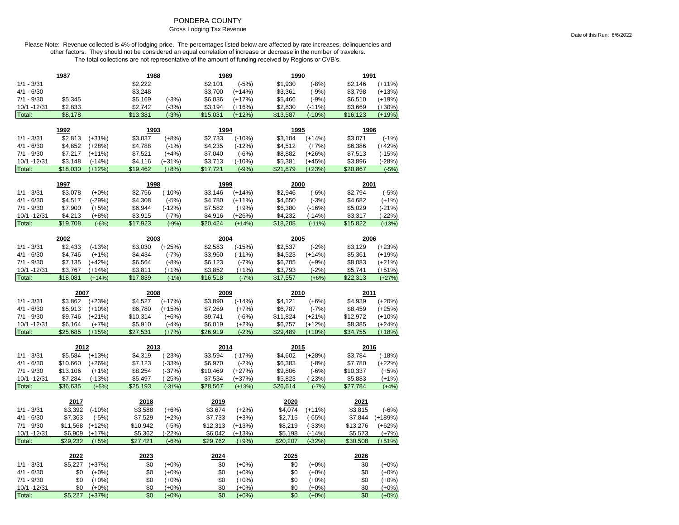### PONDERA COUNTY

#### Gross Lodging Tax Revenue

|                        | 1987                |                     | 1988                |                     | 1989                |                     | 1990                |                      | 1991                |                     |
|------------------------|---------------------|---------------------|---------------------|---------------------|---------------------|---------------------|---------------------|----------------------|---------------------|---------------------|
| $1/1 - 3/31$           |                     |                     | \$2,222             |                     | \$2,101             | $(-5%)$             | \$1,930             | $(-8%)$              | \$2,146             | $(+11%)$            |
| $4/1 - 6/30$           |                     |                     | \$3,248             |                     | \$3,700             | $(+14%)$            | \$3,361             | $(-9%)$              | \$3,798             | $(+13%)$            |
| $7/1 - 9/30$           | \$5,345             |                     | \$5,169             | $(-3%)$             | \$6,036             | $(+17%)$            | \$5,466             | $(-9%)$              | \$6,510             | $(+19%)$            |
| 10/1 - 12/31           | \$2,833             |                     | \$2,742             | $(-3%)$             | \$3,194             | $(+16%)$            | \$2,830             | $(-11%)$             | \$3,669             | $(+30%)$            |
| Total:                 | \$8,178             |                     | \$13,381            | $(-3%)$             | \$15,031            | $(+12%)$            | \$13,587            | $(-10%)$             | \$16,123            | $(+19%)$            |
|                        |                     |                     |                     |                     |                     |                     |                     |                      |                     |                     |
|                        | 1992                |                     | 1993                |                     | 1994                |                     | 1995                |                      | 1996                |                     |
| $1/1 - 3/31$           | \$2,813             | $(+31%)$            | \$3,037             | $(+8%)$             | \$2,733             | $(-10%)$            | \$3,104             | $(+14%)$             | \$3,071             | $(-1%)$             |
| $4/1 - 6/30$           | \$4,852             | $(+28%)$            | \$4,788             | $(-1%)$             | \$4,235             | $(-12%)$            | \$4,512             | $(+7%)$              | \$6,386             | $(+42%)$            |
| $7/1 - 9/30$           | \$7,217             | $(+11%)$            | \$7,521             | $(+4%)$             | \$7,040             | $(-6%)$             | \$8,882             | $(+26%)$             | \$7,513             | $(-15%)$            |
| 10/1 -12/31            | \$3,148             | $(-14%)$            | \$4,116             | $(+31%)$            | \$3,713             | $(-10%)$            | \$5,381             | $(+45%)$             | \$3,896             | $(-28%)$            |
| Total:                 | \$18,030            | $(+12%)$            | \$19,462            | $(+8%)$             | \$17,721            | $(-9%)$             | \$21,879            | $(+23%)$             | \$20,867            | $(-5%)$             |
|                        |                     |                     |                     |                     |                     |                     |                     |                      |                     |                     |
|                        | 1997                |                     | 1998                |                     | 1999                |                     | 2000                |                      | 2001                |                     |
| $1/1 - 3/31$           | \$3,078             | $(+0%)$             | \$2,756             | $(-10%)$            | \$3,146             | $(+14%)$            | \$2,946             | $(-6%)$              | \$2,794             | $(-5%)$             |
| $4/1 - 6/30$           | \$4,517             | $(-29%)$            | \$4,308             | $(-5%)$             | \$4,780             | $(+11%)$            | \$4,650             | $(-3%)$              | \$4,682             | $(+1%)$             |
| $7/1 - 9/30$           | \$7,900             | $(+5%)$             | \$6,944             | $(-12%)$            | \$7,582             | $(+9%)$             | \$6,380             | $(-16%)$             | \$5,029             | $(-21%)$            |
| 10/1 - 12/31           | \$4,213             | $(+8%)$             | \$3,915             | $(-7%)$             | \$4,916             | $(+26%)$            | \$4,232             | $(-14%)$             | \$3,317             | $(-22%)$            |
| Total:                 | \$19,708            | $(-6%)$             | \$17,923            | $(-9%)$             | \$20,424            | $(+14%)$            | \$18,208            | $(-11%)$             | \$15,822            | $(-13%)$            |
|                        |                     |                     |                     |                     |                     |                     |                     |                      |                     |                     |
|                        | 2002                |                     | 2003                |                     | 2004                |                     | 2005                |                      | 2006                |                     |
| $1/1 - 3/31$           | \$2,433             | $(-13%)$            | \$3,030             | $(+25%)$            | \$2,583             | $(-15%)$            | \$2,537             | $(-2%)$              | \$3,129             | $(+23%)$            |
| $4/1 - 6/30$           | \$4,746             | $(+1%)$             | \$4,434             | $(-7%)$             | \$3,960             | $(-11%)$            | \$4,523             | $(+14%)$             | \$5,361             | $(+19%)$            |
| $7/1 - 9/30$           | \$7,135             | $(+42%)$            | \$6,564             | $(-8%)$             | \$6,123             | $(-7%)$             | \$6,705             | $(+9%)$              | \$8,083             | $(+21%)$            |
| 10/1 - 12/31           | \$3,767             | $(+14%)$            | \$3,811             | $(+1%)$             | \$3,852             | $(+1%)$             | \$3,793             | $(-2%)$              | \$5,741             | $(+51%)$            |
| Total:                 | \$18,081            | $(+14%)$            | \$17,839            | $(-1%)$             | \$16,518            | $(-7%)$             | \$17,557            | $(+6%)$              | \$22,313            | $(+27%)$            |
|                        |                     |                     |                     |                     |                     |                     |                     |                      |                     |                     |
|                        |                     |                     |                     |                     |                     |                     |                     |                      |                     |                     |
|                        | 2007                |                     | 2008                |                     | 2009                |                     | 2010                |                      | 2011                |                     |
| $1/1 - 3/31$           | \$3,862             | $(+23%)$            | \$4,527             | $(+17%)$            | \$3,890             | $(-14%)$            | \$4,121             | $(+6%)$              | \$4,939             | $(+20%)$            |
| $4/1 - 6/30$           | \$5,913             | $(+10%)$            | \$6,780             | $(+15%)$            | \$7,269             | $(+7%)$             | \$6,787             | $(-7%)$              | \$8,459             | $(+25%)$            |
| $7/1 - 9/30$           | \$9,746             | $(+21%)$            | \$10,314            | $(+6%)$             | \$9,741             | $(-6%)$             | \$11,824            | $(+21%)$             | \$12,972            | $(+10%)$            |
| 10/1 - 12/31           | \$6,164             | $(+7%)$             | \$5,910             | $(-4%)$             | \$6,019             | $(+2%)$             | \$6,757             | $(+12%)$             | \$8,385             | $(+24%)$            |
| Total:                 | \$25,685            | $(+15%)$            | \$27,531            | $(+7%)$             | \$26,919            | $(-2%)$             | \$29,489            | $(+10%)$             | \$34,755            | $(+18%)$            |
|                        |                     |                     |                     |                     |                     |                     |                     |                      |                     |                     |
|                        | 2012                |                     | 2013                |                     | 2014                |                     | 2015                |                      | 2016                |                     |
| $1/1 - 3/31$           | \$5,584             | $(+13%)$            | \$4,319             | $(-23%)$            | \$3,594             | $(-17%)$            | \$4,602             | $(+28%)$             | \$3,784             | $(-18%)$            |
| $4/1 - 6/30$           | \$10,660            | $(+26%)$            | \$7,123             | $(-33%)$            | \$6,970             | $(-2%)$             | \$6,383             | $(-8%)$              | \$7,780             | $(+22%)$            |
| $7/1 - 9/30$           | \$13,106            | $(+1%)$             | \$8,254             | $(-37%)$            | \$10,469            | $(+27%)$            | \$9,806             | $(-6%)$              | \$10,337            | $(+5%)$             |
| 10/1 - 12/31           | \$7,284             | $(-13%)$            | \$5,497             | $(-25%)$            | \$7,534             | $(+37%)$            | \$5,823             | $(-23%)$             | \$5,883             | $(+1%)$             |
| Total:                 | \$36,635            | $(+5%)$             | \$25,193            | $(-31%)$            | \$28,567            | $(+13%)$            | \$26,614            | $(-7%)$              | \$27,784            | $(+4%)$             |
|                        | 2017                |                     | 2018                |                     | 2019                |                     | 2020                |                      | 2021                |                     |
| $1/1 - 3/31$           | \$3,392             | $(-10%)$            | \$3,588             | $(+6%)$             | \$3,674             | $(+2%)$             | \$4,074             | $(+11%)$             | \$3,815             | $(-6%)$             |
| $4/1 - 6/30$           | \$7,363             | $(-5%)$             | \$7,529             | $(+2%)$             | \$7,733             | $(+3%)$             | \$2,715             | $(-65%)$             | \$7,844             | $(+189%)$           |
| $7/1 - 9/30$           | \$11,568            | $(+12%)$            | \$10,942            |                     | \$12,313            | $(+13%)$            | \$8,219             | $(-33%)$             | \$13,276            | $(+62%)$            |
|                        |                     |                     |                     | $(-5%)$             |                     |                     |                     |                      |                     |                     |
| 10/1 - 12/31<br>Total: | \$6,909<br>\$29,232 | $(+17%)$<br>$(+5%)$ | \$5,362<br>\$27,421 | $(-22%)$<br>$(-6%)$ | \$6,042<br>\$29,762 | $(+13%)$<br>$(+9%)$ | \$5,198<br>\$20,207 | $(-14%)$<br>$(-32%)$ | \$5,573<br>\$30,508 | $(+7%)$<br>$(+51%)$ |
|                        |                     |                     |                     |                     |                     |                     |                     |                      |                     |                     |
|                        | 2022                |                     | 2023                |                     | 2024                |                     | 2025                |                      | 2026                |                     |
| $1/1 - 3/31$           | \$5,227             | $(+37%)$            | \$0                 | $(+0\%)$            | \$0                 | $(+0%)$             | \$0                 | $(+0%)$              | \$0                 | $(+0\%)$            |
| $4/1 - 6/30$           | \$0                 | $(+0%)$             | \$0                 | $(+0%)$             | \$0                 | $(+0%)$             | \$0                 | $(+0%)$              | \$0                 | $(+0%)$             |
| $7/1 - 9/30$           | \$0                 | $(+0%)$             | \$0                 | $(+0%)$             | \$0                 | $(+0%)$             | \$0                 | $(+0%)$              | \$0                 | $(+0%)$             |
| 10/1 - 12/31<br>Total: | \$0<br>\$5,227      | $(+0%)$<br>$(+37%)$ | \$0<br>\$0          | (+0%)<br>$(+0%)$    | \$0<br>\$0          | $(+0%)$<br>$(+0%)$  | \$0<br>\$0          | $(+0%)$<br>$(+0%)$   | \$0<br>\$0          | $(+0%)$<br>$(+0%)$  |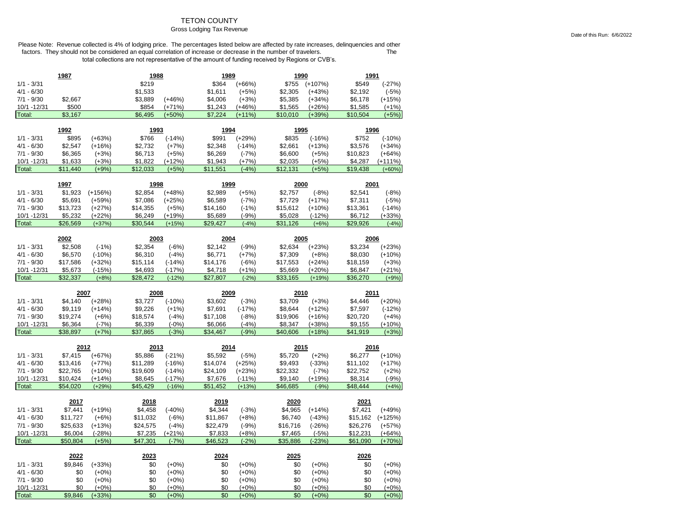## TETON COUNTY

#### Gross Lodging Tax Revenue

|                        | 1987                 |                      | 1988                |                      | 1989                |                      | 1990                |                     | 1991                |                    |
|------------------------|----------------------|----------------------|---------------------|----------------------|---------------------|----------------------|---------------------|---------------------|---------------------|--------------------|
| $1/1 - 3/31$           |                      |                      | \$219               |                      | \$364               | $(+66%)$             | \$755               | $(+107%)$           | \$549               | $(-27%)$           |
| $4/1 - 6/30$           |                      |                      | \$1,533             |                      | \$1,611             | $(+5%)$              | \$2,305             | $(+43%)$            | \$2,192             | $(-5%)$            |
| $7/1 - 9/30$           | \$2,667              |                      | \$3,889             | $(+46%)$             | \$4,006             | $(+3%)$              | \$5,385             | $(+34%)$            | \$6,178             | $(+15%)$           |
| 10/1 -12/31            | \$500                |                      | \$854               | $(+71%)$             | \$1,243             | $(+46%)$             | \$1,565             | $(+26%)$            | \$1,585             | $(+1%)$            |
| Total:                 | \$3.167              |                      | \$6,495             | $(+50%)$             | \$7.224             | $(+11%)$             | \$10,010            | $(+39%)$            | \$10,504            | $(+5%)$            |
|                        |                      |                      |                     |                      |                     |                      |                     |                     |                     |                    |
|                        | 1992                 |                      | 1993                |                      | 1994                |                      | 1995                |                     | 1996                |                    |
| $1/1 - 3/31$           | \$895                | $(+63%)$             | \$766               | $(-14%)$             | \$991               | $(+29%)$             | \$835               | $(-16%)$            | \$752               | $(-10%)$           |
| $4/1 - 6/30$           | \$2,547              | $(+16%)$             | \$2,732             | $(+7%)$              | \$2,348             | $(-14%)$             | \$2,661             | (+13%)              | \$3,576             | $(+34%)$           |
| $7/1 - 9/30$           | \$6,365              | $(+3%)$              | \$6,713             | $(+5%)$              | \$6,269             | $(-7%)$              | \$6,600             | $(+5%)$             | \$10,823            | $(+64%)$           |
| 10/1 - 12/31           | \$1,633              | $(+3%)$              | \$1,822             | $(+12%)$             | \$1,943             | $(+7%)$              | \$2,035             | $(+5%)$             | \$4,287             | $(+111%)$          |
| Total:                 | \$11,440             | $(+9%)$              | \$12,033            | $(+5%)$              | \$11,551            | $(-4%)$              | \$12,131            | $(+5%)$             | \$19,438            | $(+60%)$           |
|                        | 1997                 |                      | 1998                |                      | 1999                |                      | 2000                |                     | 2001                |                    |
| $1/1 - 3/31$           | \$1,923              | $(+156%)$            | \$2,854             | $(+48%)$             | \$2,989             | $(+5%)$              | \$2,757             | $(-8%)$             | \$2,541             | $(-8%)$            |
| $4/1 - 6/30$           | \$5,691              | $(+59%)$             | \$7,086             | $(+25%)$             | \$6,589             | $(-7%)$              | \$7,729             | $(+17%)$            | \$7,311             | $(-5%)$            |
| $7/1 - 9/30$           | \$13,723             | $(+27%)$             | \$14,355            | $(+5%)$              | \$14,160            | $(-1%)$              | \$15,612            | $(+10%)$            | \$13,361            | $(-14%)$           |
| 10/1 - 12/31           | \$5,232              | $(+22%)$             | \$6,249             | $(+19%)$             | \$5,689             | $(-9%)$              | \$5,028             | $(-12%)$            | \$6,712             | $(+33%)$           |
| Total:                 | \$26,569             | $(+37%)$             | \$30,544            | $(+15%)$             | \$29,427            | $(-4%)$              | \$31,126            | $(+6%)$             | \$29,926            | $(-4%)$            |
|                        |                      |                      |                     |                      |                     |                      |                     |                     |                     |                    |
| $1/1 - 3/31$           | 2002<br>\$2,508      | $(-1%)$              | 2003<br>\$2,354     | $(-6%)$              | 2004<br>\$2,142     | $(-9%)$              | 2005<br>\$2,634     | $(+23%)$            | 2006<br>\$3,234     | $(+23%)$           |
| $4/1 - 6/30$           | \$6,570              |                      | \$6,310             | $(-4%)$              | \$6,771             |                      | \$7,309             | $(+8%)$             | \$8,030             | $(+10%)$           |
| $7/1 - 9/30$           | \$17,586             | $(-10%)$<br>$(+32%)$ | \$15,114            |                      | \$14,176            | $(+7%)$              | \$17,553            | $(+24%)$            | \$18,159            | $(+3%)$            |
| 10/1 - 12/31           | \$5,673              | $(-15%)$             | \$4,693             | $(-14%)$<br>$(-17%)$ | \$4,718             | $(-6%)$<br>$(+1%)$   | \$5,669             | $(+20%)$            | \$6,847             | $(+21%)$           |
| Total:                 | \$32,337             | $(+8%)$              | \$28,472            | $(-12%)$             | \$27,807            | $(-2%)$              | \$33,165            | $(+19%)$            | \$36,270            | $(+9%)$            |
|                        |                      |                      |                     |                      |                     |                      |                     |                     |                     |                    |
|                        |                      |                      |                     |                      |                     |                      |                     |                     |                     |                    |
|                        | 2007                 |                      | 2008                |                      | 2009                |                      | 2010                |                     | 2011                |                    |
| $1/1 - 3/31$           | \$4,140              | $(+28%)$             | \$3,727             | $(-10%)$             | \$3,602             | $(-3%)$              | \$3,709             | $(+3%)$             | \$4,446             | $(+20%)$           |
| $4/1 - 6/30$           | \$9,119              | $(+14%)$             | \$9,226             | $(+1%)$              | \$7,691             | $(-17%)$             | \$8,644             | $(+12%)$            | \$7,597             | $(-12%)$           |
| $7/1 - 9/30$           | \$19,274             | $(+6%)$              | \$18,574            | $(-4%)$              | \$17,108            | $(-8%)$              | \$19,906            | $(+16%)$            | \$20,720            | $(+4%)$            |
| 10/1 - 12/31           | \$6,364              | $(-7%)$              | \$6,339             | $(-0%)$              | \$6,066             | $(-4%)$              | \$8,347             | $(+38%)$            | \$9,155             | $(+10%)$           |
| Total:                 | \$38,897             | $(+7%)$              | \$37,865            | $(-3%)$              | \$34,467            | $(-9%)$              | \$40,606            | $(+18%)$            | \$41,919            | $(+3%)$            |
|                        |                      |                      |                     |                      |                     |                      |                     |                     |                     |                    |
|                        | 2012                 |                      | 2013                |                      | 2014                |                      | 2015                |                     | 2016                |                    |
| $1/1 - 3/31$           | \$7,415              | $(+67%)$             | \$5,886             | $(-21%)$             | \$5,592             | $(-5%)$              | \$5,720             | $(+2%)$             | \$6,277             | $(+10%)$           |
| $4/1 - 6/30$           | \$13,416             | $(+77%)$             | \$11,289            | $(-16%)$             | \$14,074            | $(+25%)$             | \$9,493             | $(-33%)$            | \$11,102            | $(+17%)$           |
| $7/1 - 9/30$           | \$22,765             | $(+10%)$             | \$19,609            | $(-14%)$             | \$24,109            | $(+23%)$             | \$22,332            | $(-7%)$             | \$22,752            | $(+2%)$            |
| 10/1 - 12/31<br>Total: | \$10,424<br>\$54,020 | $(+14%)$<br>$(+29%)$ | \$8,645<br>\$45,429 | $(-17%)$<br>$(-16%)$ | \$7,676<br>\$51,452 | $(-11%)$<br>$(+13%)$ | \$9,140<br>\$46,685 | $(+19%)$<br>$(-9%)$ | \$8,314<br>\$48,444 | $(-9%)$<br>$(+4%)$ |
|                        |                      |                      |                     |                      |                     |                      |                     |                     |                     |                    |
|                        | 2017                 |                      | 2018                |                      | 2019                |                      | 2020                |                     | 2021                |                    |
| $1/1 - 3/31$           | \$7,441              | $(+19%)$             | \$4,458             | $(-40%)$             | \$4,344             | $(-3%)$              | \$4,965             | $(+14%)$            | \$7,421             | $(+49%)$           |
| $4/1 - 6/30$           | \$11,727             | $(+6%)$              | \$11,032            | $(-6%)$              | \$11,867            | $(+8%)$              | \$6,740             | $(-43%)$            | \$15,162            | $(+125%)$          |
| $7/1 - 9/30$           | \$25,633             | $(+13%)$             | \$24,575            | $(-4%)$              | \$22,479            | $(-9%)$              | \$16,716            | $(-26%)$            | \$26,276            | $(+57%)$           |
| 10/1 - 12/31           | \$6,004              | $(-28%)$             | \$7,235             | $(+21%)$             | \$7,833             | $(+8%)$              | \$7,465             | $(-5%)$             | \$12,231            | $(+64%)$           |
| Total:                 | \$50,804             | $(+5%)$              | \$47,301            | $(-7%)$              | \$46,523            | $(-2%)$              | \$35,886            | $(-23%)$            | \$61,090            | $(+70%)$           |
|                        | 2022                 |                      | 2023                |                      | 2024                |                      | 2025                |                     | 2026                |                    |
| $1/1 - 3/31$           | \$9,846              | $(+33%)$             | \$0                 | $(+0%)$              | \$0                 | $(+0\%)$             | \$0                 | $(+0%)$             | \$0                 | $(+0%)$            |
| $4/1 - 6/30$           | \$0                  | $(+0\%)$             | \$0                 | $(+0\%)$             | \$0                 | $(+0%)$              | \$0                 | $(+0\%)$            | \$0                 | $(+0\%)$           |
| $7/1 - 9/30$           | \$0                  | $(+0%)$              | \$0                 | $(+0%)$              | \$0                 | $(+0%)$              | \$0                 | $(+0\%)$            | \$0                 | $(+0%)$            |
| 10/1 -12/31<br>Total:  | \$0<br>\$9,846       | $(+0%)$<br>$(+33%)$  | \$0<br>\$0          | $(+0%)$<br>$(+0%)$   | \$0<br>\$0          | $(+0%)$<br>$(+0%)$   | \$0<br>\$0          | $(+0%)$<br>$(+0%)$  | \$0<br>\$0          | $(+0%)$<br>$(+0%)$ |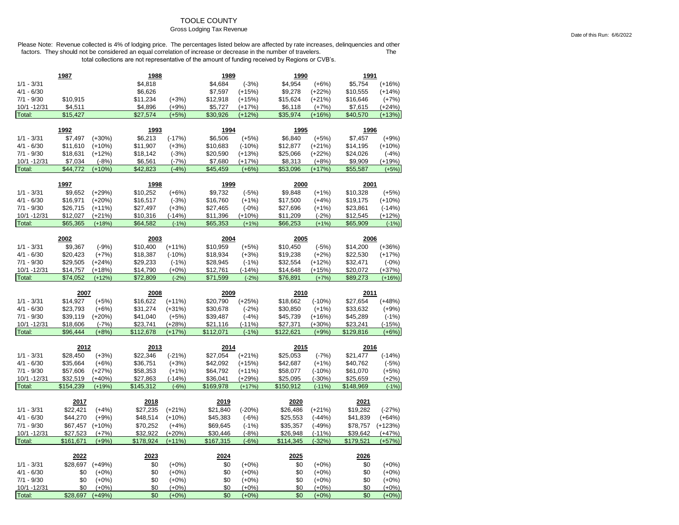## TOOLE COUNTY

#### Gross Lodging Tax Revenue

|                              | 1987          |                    | 1988       |                    | 1989       |                    | 1990       |                    | 1991       |                    |
|------------------------------|---------------|--------------------|------------|--------------------|------------|--------------------|------------|--------------------|------------|--------------------|
| $1/1 - 3/31$                 |               |                    | \$4,818    |                    | \$4,684    | $(-3%)$            | \$4,954    | $(+6%)$            | \$5,754    | $(+16%)$           |
| $4/1 - 6/30$                 |               |                    | \$6,626    |                    | \$7,597    | $(+15%)$           | \$9,278    | $(+22%)$           | \$10,555   | $(+14%)$           |
| $7/1 - 9/30$                 | \$10,915      |                    | \$11,234   | $(+3%)$            | \$12,918   | $(+15%)$           | \$15,624   | (+21%)             | \$16,646   | $(+7%)$            |
| 10/1 - 12/31                 | \$4,511       |                    | \$4,896    | $(+9%)$            | \$5,727    | $(+17%)$           | \$6,118    | $(+7%)$            | \$7,615    | $(+24%)$           |
| Total:                       | \$15,427      |                    | \$27,574   | $(+5%)$            | \$30,926   | $(+12%)$           | \$35,974   | $(+16%)$           | \$40,570   | $(+13%)$           |
|                              | 1992          |                    | 1993       |                    | 1994       |                    | 1995       |                    | 1996       |                    |
| $1/1 - 3/31$                 | \$7,497       | $(+30%)$           | \$6,213    | $(-17%)$           | \$6,506    | $(+5%)$            | \$6,840    | $(+5%)$            | \$7,457    | $(+9%)$            |
| $4/1 - 6/30$                 | \$11,610      | $(+10%)$           | \$11,907   | $(+3%)$            | \$10,683   | $(-10%)$           | \$12,877   | (+21%)             | \$14,195   | $(+10%)$           |
| $7/1 - 9/30$                 | \$18,631      | $(+12%)$           | \$18,142   | $(-3%)$            | \$20,590   | $(+13%)$           | \$25,066   | $(+22%)$           | \$24,026   | $(-4%)$            |
| 10/1 - 12/31                 | \$7,034       | $(-8%)$            | \$6,561    | $(-7%)$            | \$7,680    | $(+17%)$           | \$8,313    | $(+8%)$            | \$9,909    | $(+19%)$           |
| Total:                       | \$44,772      | $(+10%)$           | \$42,823   | $(-4%)$            | \$45,459   | $(+6%)$            | \$53,096   | $(+17%)$           | \$55,587   | $(+5%)$            |
|                              |               |                    |            |                    |            |                    |            |                    |            |                    |
|                              | 1997          |                    | 1998       |                    | 1999       |                    | 2000       |                    | 2001       |                    |
| $1/1 - 3/31$                 | \$9,652       | $(+29%)$           | \$10,252   | $(+6%)$            | \$9,732    | $(-5%)$            | \$9,848    | $(+1%)$            | \$10,328   | $(+5%)$            |
| $4/1 - 6/30$                 | \$16,971      | $(+20%)$           | \$16,517   | $(-3%)$            | \$16,760   | $(+1%)$            | \$17,500   | $(+4%)$            | \$19,175   | $(+10%)$           |
| $7/1 - 9/30$                 | \$26,715      | $(+11%)$           | \$27,497   | $(+3%)$            | \$27,465   | $(-0%)$            | \$27,696   | $(+1%)$            | \$23,861   | $(-14%)$           |
| 10/1 - 12/31                 | \$12,027      | $(+21%)$           | \$10,316   | $(-14%)$           | \$11,396   | $(+10%)$           | \$11,209   | $(-2%)$            | \$12,545   | $(+12%)$           |
| Total:                       | \$65,365      | $(+18%)$           | \$64,582   | $(-1%)$            | \$65,353   | $(+1%)$            | \$66,253   | $(+1%)$            | \$65,909   | $(-1%)$            |
|                              | 2002          |                    | 2003       |                    | 2004       |                    | 2005       |                    | 2006       |                    |
| $1/1 - 3/31$                 | \$9,367       | $(-9%)$            | \$10,400   | $(+11%)$           | \$10,959   | $(+5%)$            | \$10,450   | $(-5%)$            | \$14,200   | $(+36%)$           |
| $4/1 - 6/30$                 | \$20,423      | $(+7%)$            | \$18,387   | $(-10%)$           | \$18,934   | $(+3%)$            | \$19,238   | $(+2%)$            | \$22,530   | $(+17%)$           |
| $7/1 - 9/30$                 | \$29,505      | $(+24%)$           | \$29,233   | $(-1%)$            | \$28,945   | $(-1%)$            | \$32,554   | $(+12%)$           | \$32,471   | $(-0%)$            |
| 10/1 - 12/31                 | \$14,757      | $(+18%)$           | \$14,790   | $(+0%)$            | \$12,761   | $(-14%)$           | \$14,648   | (+15%)             | \$20,072   | $(+37%)$           |
| Total:                       | \$74,052      | $(+12%)$           | \$72,809   | $(-2%)$            | \$71,599   | $(-2%)$            | \$76,891   | $(+7%)$            | \$89,273   | $(+16%)$           |
|                              |               |                    |            |                    |            |                    |            |                    |            |                    |
|                              |               |                    |            |                    |            |                    |            |                    |            |                    |
|                              | 2007          |                    | 2008       |                    | 2009       |                    | 2010       |                    | 2011       |                    |
| $1/1 - 3/31$                 | \$14,927      | $(+5%)$            | \$16,622   | $(+11%)$           | \$20,790   | $(+25%)$           | \$18,662   | $(-10%)$           | \$27,654   | $(+48%)$           |
| 4/1 - 6/30                   | \$23,793      | $(+6%)$            | \$31,274   | $(+31%)$           | \$30,678   | $(-2%)$            | \$30,850   | $(+1%)$            | \$33,632   | $(+9%)$            |
| $7/1 - 9/30$                 | \$39,119      | $(+20%)$           | \$41,040   | $(+5%)$            | \$39,487   | $(-4%)$            | \$45,739   | $(+16%)$           | \$45,289   | $(-1%)$            |
| 10/1 - 12/31                 | \$18,606      | $(-7%)$            | \$23,741   | $(+28%)$           | \$21,116   | $(-11%)$           | \$27,371   | $(+30%)$           | \$23,241   | $(-15%)$           |
|                              | \$96,444      | $(+8%)$            | \$112,678  | $(+17%)$           | \$112,071  | $(-1%)$            | \$122,621  | $(+9%$             | \$129,816  | $(+6%)$            |
| Total:                       | <u> 2012 </u> |                    | 2013       |                    | 2014       |                    | 2015       |                    | 2016       |                    |
| $1/1 - 3/31$                 | \$28,450      | $(+3%)$            | \$22,346   | $(-21%)$           | \$27,054   | $(+21%)$           | \$25,053   | $(-7%)$            | \$21,477   | $(-14%)$           |
| $4/1 - 6/30$                 | \$35,664      | $(+6%)$            | \$36,751   | $(+3%)$            | \$42,092   | $(+15%)$           | \$42,687   | $(+1%)$            | \$40,762   | $(-5%)$            |
| $7/1 - 9/30$                 | \$57,606      | $(+27%)$           | \$58,353   | $(+1%)$            | \$64,792   | $(+11%)$           | \$58,077   | $(-10%)$           | \$61,070   | $(+5%)$            |
| 10/1 -12/31                  | \$32,519      | $(+40%)$           | \$27,863   | $(-14%)$           | \$36,041   | $(+29%)$           | \$25,095   | $(-30%)$           | \$25,659   | $(+2%)$            |
| Total:                       | \$154,239     | $(+19%)$           | \$145,312  | $(-6%)$            | \$169,978  | $(+17%)$           | \$150,912  | $(-11%)$           | \$148,969  | $(-1%)$            |
|                              | 2017          |                    | 2018       |                    | 2019       |                    | 2020       |                    | 2021       |                    |
| $1/1 - 3/31$                 | \$22,421      | $(+4%)$            | \$27,235   | $(+21%)$           | \$21,840   | $(-20%)$           | \$26,486   | $(+21%)$           | \$19,282   | $(-27%)$           |
| $4/1 - 6/30$                 | \$44,270      | $(+9%)$            | \$48,514   | $(+10%)$           | \$45,383   | $(-6%)$            | \$25,553   | $(-44%)$           | \$41,839   | $(+64%)$           |
| $7/1 - 9/30$                 | \$67,457      | $(+10%)$           | \$70,252   | $(+4%)$            | \$69,645   | $(-1%)$            | \$35,357   | $(-49%)$           | \$78,757   | $(+123%)$          |
| 10/1 - 12/31                 | \$27,523      | $(+7%)$            | \$32,922   | $(+20%)$           | \$30,446   | $(-8%)$            | \$26,948   | $(-11%)$           | \$39,642   | $(+47%)$           |
| Total:                       | \$161,671     | $(+9%)$            | \$178,924  | $(+11%)$           | \$167,315  | $(-6%)$            | \$114,345  | $(-32%)$           | \$179,521  | $(+57%)$           |
|                              |               |                    |            |                    |            |                    |            |                    |            |                    |
|                              | 2022          |                    | 2023       |                    | 2024       |                    | 2025       |                    | 2026       |                    |
| $1/1 - 3/31$                 | \$28,697      | $(+49%)$           | \$0        | $(+0%)$            | \$0        | $(+0%)$            | \$0        | $(+0%)$            | \$0        | $(+0%)$            |
| $4/1 - 6/30$<br>$7/1 - 9/30$ | \$0<br>\$0    | $(+0%)$<br>$(+0%)$ | \$0<br>\$0 | $(+0%)$            | \$0<br>\$0 | $(+0%)$            | \$0<br>\$0 | $(+0%)$            | \$0<br>\$0 | $(+0%)$            |
| 10/1 - 12/31                 | \$0           | $(+0%)$            | \$0        | $(+0%)$<br>$(+0%)$ | \$0        | $(+0%)$<br>$(+0%)$ | \$0        | $(+0%)$<br>$(+0%)$ | \$0        | $(+0%)$<br>$(+0%)$ |